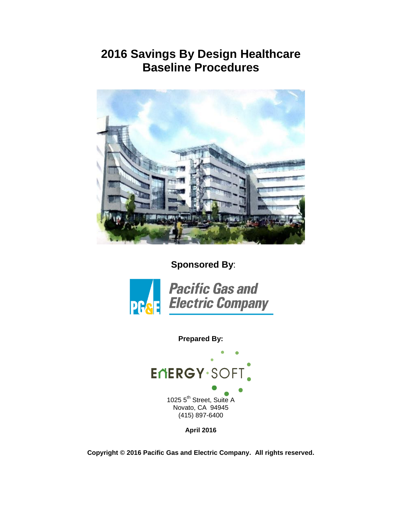# **2016 Savings By Design Healthcare Baseline Procedures**



 **Sponsored By**:



**Pacific Gas and Electric Company** 



**April 2016**

**Copyright © 2016 Pacific Gas and Electric Company. All rights reserved.**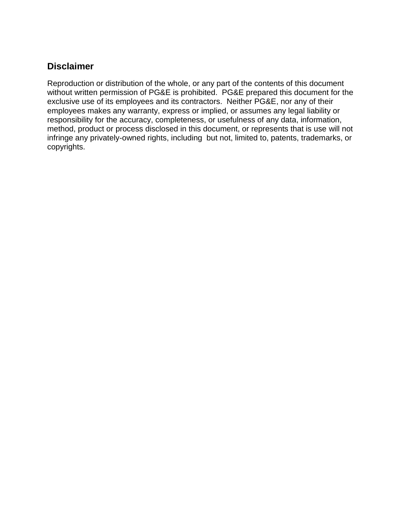### **Disclaimer**

Reproduction or distribution of the whole, or any part of the contents of this document without written permission of PG&E is prohibited. PG&E prepared this document for the exclusive use of its employees and its contractors. Neither PG&E, nor any of their employees makes any warranty, express or implied, or assumes any legal liability or responsibility for the accuracy, completeness, or usefulness of any data, information, method, product or process disclosed in this document, or represents that is use will not infringe any privately-owned rights, including but not, limited to, patents, trademarks, or copyrights.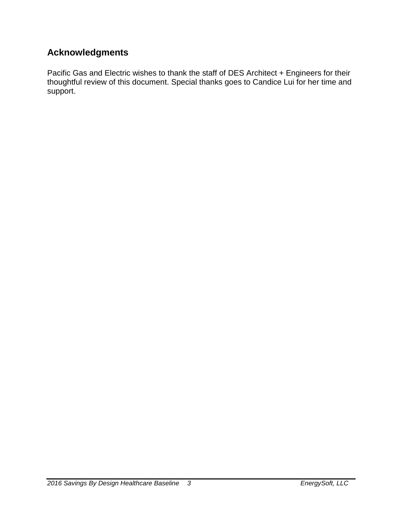# **Acknowledgments**

Pacific Gas and Electric wishes to thank the staff of DES Architect + Engineers for their thoughtful review of this document. Special thanks goes to Candice Lui for her time and support.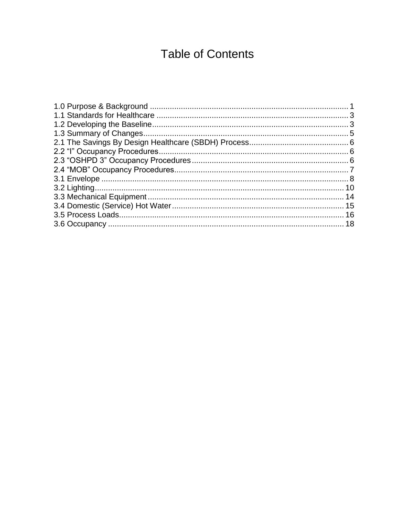# **Table of Contents**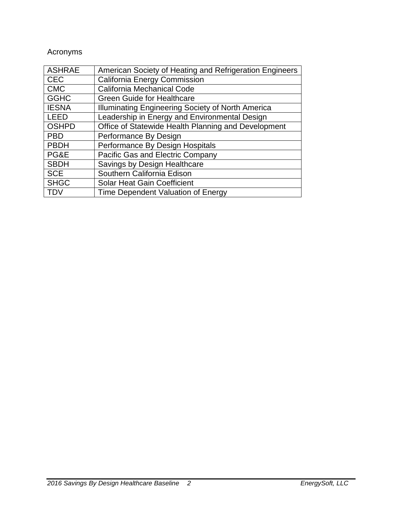### Acronyms

| <b>ASHRAE</b> | American Society of Heating and Refrigeration Engineers |
|---------------|---------------------------------------------------------|
| <b>CEC</b>    | <b>California Energy Commission</b>                     |
| <b>CMC</b>    | California Mechanical Code                              |
| <b>GGHC</b>   | <b>Green Guide for Healthcare</b>                       |
| <b>IESNA</b>  | Illuminating Engineering Society of North America       |
| <b>LEED</b>   | Leadership in Energy and Environmental Design           |
| <b>OSHPD</b>  | Office of Statewide Health Planning and Development     |
| <b>PBD</b>    | Performance By Design                                   |
| <b>PBDH</b>   | Performance By Design Hospitals                         |
| PG&E          | Pacific Gas and Electric Company                        |
| <b>SBDH</b>   | Savings by Design Healthcare                            |
| <b>SCE</b>    | Southern California Edison                              |
| <b>SHGC</b>   | Solar Heat Gain Coefficient                             |
| <b>TDV</b>    | Time Dependent Valuation of Energy                      |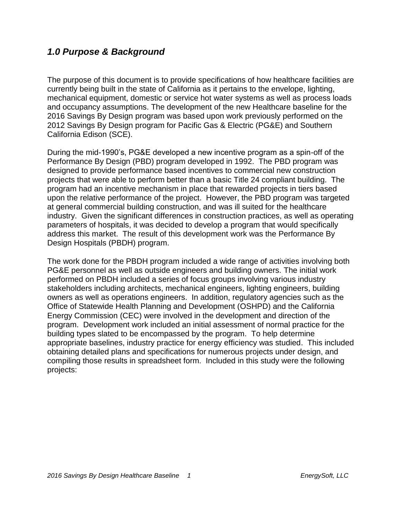### *1.0 Purpose & Background*

The purpose of this document is to provide specifications of how healthcare facilities are currently being built in the state of California as it pertains to the envelope, lighting, mechanical equipment, domestic or service hot water systems as well as process loads and occupancy assumptions. The development of the new Healthcare baseline for the 2016 Savings By Design program was based upon work previously performed on the 2012 Savings By Design program for Pacific Gas & Electric (PG&E) and Southern California Edison (SCE).

During the mid-1990's, PG&E developed a new incentive program as a spin-off of the Performance By Design (PBD) program developed in 1992. The PBD program was designed to provide performance based incentives to commercial new construction projects that were able to perform better than a basic Title 24 compliant building. The program had an incentive mechanism in place that rewarded projects in tiers based upon the relative performance of the project. However, the PBD program was targeted at general commercial building construction, and was ill suited for the healthcare industry. Given the significant differences in construction practices, as well as operating parameters of hospitals, it was decided to develop a program that would specifically address this market. The result of this development work was the Performance By Design Hospitals (PBDH) program.

The work done for the PBDH program included a wide range of activities involving both PG&E personnel as well as outside engineers and building owners. The initial work performed on PBDH included a series of focus groups involving various industry stakeholders including architects, mechanical engineers, lighting engineers, building owners as well as operations engineers. In addition, regulatory agencies such as the Office of Statewide Health Planning and Development (OSHPD) and the California Energy Commission (CEC) were involved in the development and direction of the program. Development work included an initial assessment of normal practice for the building types slated to be encompassed by the program. To help determine appropriate baselines, industry practice for energy efficiency was studied. This included obtaining detailed plans and specifications for numerous projects under design, and compiling those results in spreadsheet form. Included in this study were the following projects: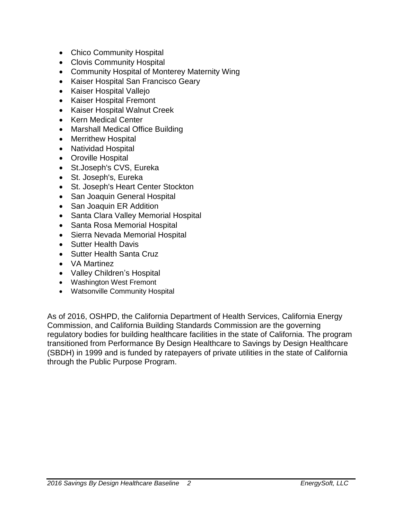- Chico Community Hospital
- Clovis Community Hospital
- Community Hospital of Monterey Maternity Wing
- Kaiser Hospital San Francisco Geary
- Kaiser Hospital Vallejo
- Kaiser Hospital Fremont
- Kaiser Hospital Walnut Creek
- Kern Medical Center
- Marshall Medical Office Building
- Merrithew Hospital
- Natividad Hospital
- Oroville Hospital
- St.Joseph's CVS, Eureka
- St. Joseph's, Eureka
- St. Joseph's Heart Center Stockton
- San Joaquin General Hospital
- San Joaquin ER Addition
- Santa Clara Valley Memorial Hospital
- Santa Rosa Memorial Hospital
- Sierra Nevada Memorial Hospital
- Sutter Health Davis
- Sutter Health Santa Cruz
- VA Martinez
- Valley Children's Hospital
- Washington West Fremont
- Watsonville Community Hospital

As of 2016, OSHPD, the California Department of Health Services, California Energy Commission, and California Building Standards Commission are the governing regulatory bodies for building healthcare facilities in the state of California. The program transitioned from Performance By Design Healthcare to Savings by Design Healthcare (SBDH) in 1999 and is funded by ratepayers of private utilities in the state of California through the Public Purpose Program.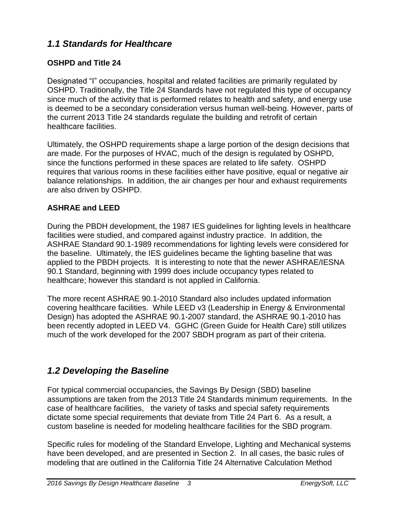# *1.1 Standards for Healthcare*

### **OSHPD and Title 24**

Designated "I" occupancies, hospital and related facilities are primarily regulated by OSHPD. Traditionally, the Title 24 Standards have not regulated this type of occupancy since much of the activity that is performed relates to health and safety, and energy use is deemed to be a secondary consideration versus human well-being. However, parts of the current 2013 Title 24 standards regulate the building and retrofit of certain healthcare facilities.

Ultimately, the OSHPD requirements shape a large portion of the design decisions that are made. For the purposes of HVAC, much of the design is regulated by OSHPD, since the functions performed in these spaces are related to life safety. OSHPD requires that various rooms in these facilities either have positive, equal or negative air balance relationships. In addition, the air changes per hour and exhaust requirements are also driven by OSHPD.

### **ASHRAE and LEED**

During the PBDH development, the 1987 IES guidelines for lighting levels in healthcare facilities were studied, and compared against industry practice. In addition, the ASHRAE Standard 90.1-1989 recommendations for lighting levels were considered for the baseline. Ultimately, the IES guidelines became the lighting baseline that was applied to the PBDH projects. It is interesting to note that the newer ASHRAE/IESNA 90.1 Standard, beginning with 1999 does include occupancy types related to healthcare; however this standard is not applied in California.

The more recent ASHRAE 90.1-2010 Standard also includes updated information covering healthcare facilities. While LEED v3 (Leadership in Energy & Environmental Design) has adopted the ASHRAE 90.1-2007 standard, the ASHRAE 90.1-2010 has been recently adopted in LEED V4. GGHC (Green Guide for Health Care) still utilizes much of the work developed for the 2007 SBDH program as part of their criteria.

# *1.2 Developing the Baseline*

For typical commercial occupancies, the Savings By Design (SBD) baseline assumptions are taken from the 2013 Title 24 Standards minimum requirements. In the case of healthcare facilities, the variety of tasks and special safety requirements dictate some special requirements that deviate from Title 24 Part 6. As a result, a custom baseline is needed for modeling healthcare facilities for the SBD program.

Specific rules for modeling of the Standard Envelope, Lighting and Mechanical systems have been developed, and are presented in Section 2. In all cases, the basic rules of modeling that are outlined in the California Title 24 Alternative Calculation Method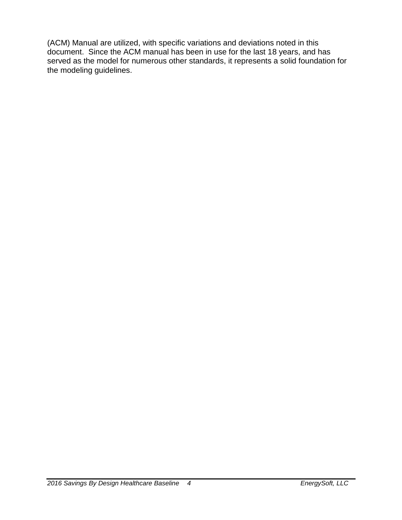(ACM) Manual are utilized, with specific variations and deviations noted in this document. Since the ACM manual has been in use for the last 18 years, and has served as the model for numerous other standards, it represents a solid foundation for the modeling guidelines.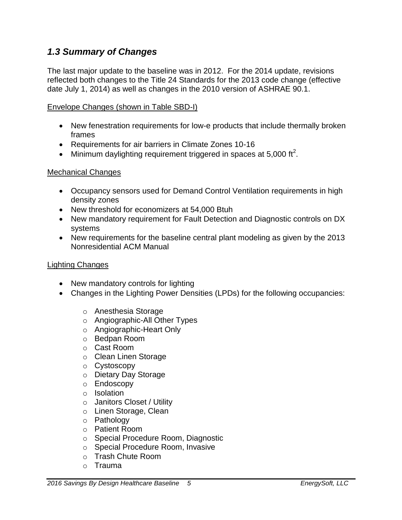# *1.3 Summary of Changes*

The last major update to the baseline was in 2012. For the 2014 update, revisions reflected both changes to the Title 24 Standards for the 2013 code change (effective date July 1, 2014) as well as changes in the 2010 version of ASHRAE 90.1.

Envelope Changes (shown in Table SBD-I)

- New fenestration requirements for low-e products that include thermally broken frames
- Requirements for air barriers in Climate Zones 10-16
- Minimum daylighting requirement triggered in spaces at 5,000 ft<sup>2</sup>.

#### Mechanical Changes

- Occupancy sensors used for Demand Control Ventilation requirements in high density zones
- New threshold for economizers at 54,000 Btuh
- New mandatory requirement for Fault Detection and Diagnostic controls on DX systems
- New requirements for the baseline central plant modeling as given by the 2013 Nonresidential ACM Manual

#### Lighting Changes

- New mandatory controls for lighting
- Changes in the Lighting Power Densities (LPDs) for the following occupancies:
	- o Anesthesia Storage
	- o Angiographic-All Other Types
	- o Angiographic-Heart Only
	- o Bedpan Room
	- o Cast Room
	- o Clean Linen Storage
	- o Cystoscopy
	- o Dietary Day Storage
	- o Endoscopy
	- o Isolation
	- o Janitors Closet / Utility
	- o Linen Storage, Clean
	- o Pathology
	- o Patient Room
	- o Special Procedure Room, Diagnostic
	- o Special Procedure Room, Invasive
	- o Trash Chute Room
	- o Trauma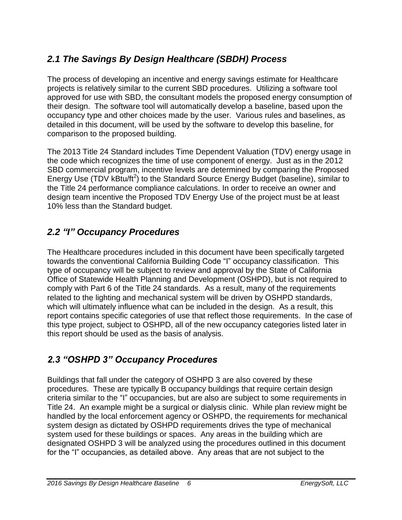# *2.1 The Savings By Design Healthcare (SBDH) Process*

The process of developing an incentive and energy savings estimate for Healthcare projects is relatively similar to the current SBD procedures. Utilizing a software tool approved for use with SBD, the consultant models the proposed energy consumption of their design. The software tool will automatically develop a baseline, based upon the occupancy type and other choices made by the user. Various rules and baselines, as detailed in this document, will be used by the software to develop this baseline, for comparison to the proposed building.

The 2013 Title 24 Standard includes Time Dependent Valuation (TDV) energy usage in the code which recognizes the time of use component of energy. Just as in the 2012 SBD commercial program, incentive levels are determined by comparing the Proposed Energy Use (TDV kBtu/ft<sup>2</sup>) to the Standard Source Energy Budget (baseline), similar to the Title 24 performance compliance calculations. In order to receive an owner and design team incentive the Proposed TDV Energy Use of the project must be at least 10% less than the Standard budget.

# *2.2 "I" Occupancy Procedures*

The Healthcare procedures included in this document have been specifically targeted towards the conventional California Building Code "I" occupancy classification. This type of occupancy will be subject to review and approval by the State of California Office of Statewide Health Planning and Development (OSHPD), but is not required to comply with Part 6 of the Title 24 standards. As a result, many of the requirements related to the lighting and mechanical system will be driven by OSHPD standards, which will ultimately influence what can be included in the design. As a result, this report contains specific categories of use that reflect those requirements. In the case of this type project, subject to OSHPD, all of the new occupancy categories listed later in this report should be used as the basis of analysis.

# *2.3 "OSHPD 3" Occupancy Procedures*

Buildings that fall under the category of OSHPD 3 are also covered by these procedures. These are typically B occupancy buildings that require certain design criteria similar to the "I" occupancies, but are also are subject to some requirements in Title 24. An example might be a surgical or dialysis clinic. While plan review might be handled by the local enforcement agency or OSHPD, the requirements for mechanical system design as dictated by OSHPD requirements drives the type of mechanical system used for these buildings or spaces. Any areas in the building which are designated OSHPD 3 will be analyzed using the procedures outlined in this document for the "I" occupancies, as detailed above. Any areas that are not subject to the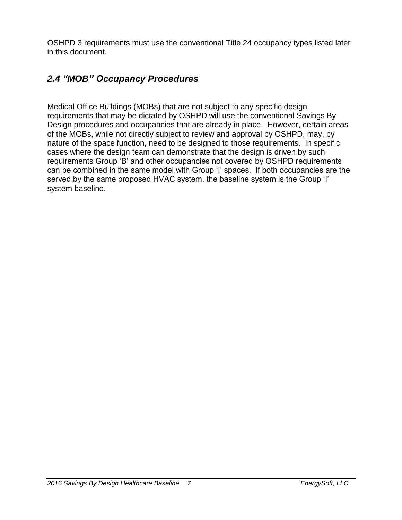OSHPD 3 requirements must use the conventional Title 24 occupancy types listed later in this document.

# *2.4 "MOB" Occupancy Procedures*

Medical Office Buildings (MOBs) that are not subject to any specific design requirements that may be dictated by OSHPD will use the conventional Savings By Design procedures and occupancies that are already in place. However, certain areas of the MOBs, while not directly subject to review and approval by OSHPD, may, by nature of the space function, need to be designed to those requirements. In specific cases where the design team can demonstrate that the design is driven by such requirements Group 'B' and other occupancies not covered by OSHPD requirements can be combined in the same model with Group 'I' spaces. If both occupancies are the served by the same proposed HVAC system, the baseline system is the Group 'I' system baseline.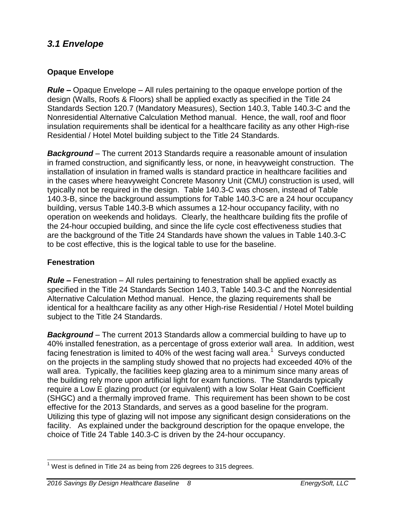# *3.1 Envelope*

### **Opaque Envelope**

*Rule –* Opaque Envelope – All rules pertaining to the opaque envelope portion of the design (Walls, Roofs & Floors) shall be applied exactly as specified in the Title 24 Standards Section 120.7 (Mandatory Measures), Section 140.3, Table 140.3-C and the Nonresidential Alternative Calculation Method manual. Hence, the wall, roof and floor insulation requirements shall be identical for a healthcare facility as any other High-rise Residential / Hotel Motel building subject to the Title 24 Standards.

*Background* – The current 2013 Standards require a reasonable amount of insulation in framed construction, and significantly less, or none, in heavyweight construction. The installation of insulation in framed walls is standard practice in healthcare facilities and in the cases where heavyweight Concrete Masonry Unit (CMU) construction is used, will typically not be required in the design. Table 140.3-C was chosen, instead of Table 140.3-B, since the background assumptions for Table 140.3-C are a 24 hour occupancy building, versus Table 140.3-B which assumes a 12-hour occupancy facility, with no operation on weekends and holidays. Clearly, the healthcare building fits the profile of the 24-hour occupied building, and since the life cycle cost effectiveness studies that are the background of the Title 24 Standards have shown the values in Table 140.3-C to be cost effective, this is the logical table to use for the baseline.

### **Fenestration**

*Rule –* Fenestration – All rules pertaining to fenestration shall be applied exactly as specified in the Title 24 Standards Section 140.3, Table 140.3-C and the Nonresidential Alternative Calculation Method manual. Hence, the glazing requirements shall be identical for a healthcare facility as any other High-rise Residential / Hotel Motel building subject to the Title 24 Standards.

*Background* – The current 2013 Standards allow a commercial building to have up to 40% installed fenestration, as a percentage of gross exterior wall area. In addition, west facing fenestration is limited to 40% of the west facing wall area.<sup>1</sup> Surveys conducted on the projects in the sampling study showed that no projects had exceeded 40% of the wall area. Typically, the facilities keep glazing area to a minimum since many areas of the building rely more upon artificial light for exam functions. The Standards typically require a Low E glazing product (or equivalent) with a low Solar Heat Gain Coefficient (SHGC) and a thermally improved frame. This requirement has been shown to be cost effective for the 2013 Standards, and serves as a good baseline for the program. Utilizing this type of glazing will not impose any significant design considerations on the facility. As explained under the background description for the opaque envelope, the choice of Title 24 Table 140.3-C is driven by the 24-hour occupancy.

j  $1$  West is defined in Title 24 as being from 226 degrees to 315 degrees.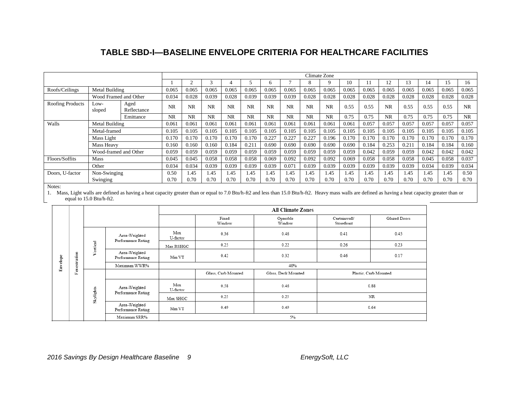### **TABLE SBD-I—BASELINE ENVELOPE CRITERIA FOR HEALTHCARE FACILITIES**

|                         |                          |                     | Climate Zone |              |              |              |              |              |              |              |              |              |              |              |              |              |              |              |
|-------------------------|--------------------------|---------------------|--------------|--------------|--------------|--------------|--------------|--------------|--------------|--------------|--------------|--------------|--------------|--------------|--------------|--------------|--------------|--------------|
|                         |                          |                     |              |              | 3            |              |              |              |              | 8            | Q            | 10           |              | 12           |              | 14           | 15           | 16           |
| Roofs/Ceilings          | Metal Building           |                     | 0.065        | 0.065        | 0.065        | 0.065        | 0.065        | 0.065        | 0.065        | 0.065        | 0.065        | 0.065        | 0.065        | 0.065        | 0.065        | 0.065        | 0.065        | 0.065        |
|                         | Wood Framed and Other    |                     | 0.034        | 0.028        | 0.039        | 0.028        | 0.039        | 0.039        | 0.039        | 0.028        | 0.028        | 0.028        | 0.028        | 0.028        | 0.028        | 0.028        | 0.028        | 0.028        |
| <b>Roofing Products</b> | Low-<br>sloped           | Aged<br>Reflectance | <b>NR</b>    | <b>NR</b>    | <b>NR</b>    | <b>NR</b>    | <b>NR</b>    | <b>NR</b>    | <b>NR</b>    | <b>NR</b>    | <b>NR</b>    | 0.55         | 0.55         | <b>NR</b>    | 0.55         | 0.55         | 0.55         | <b>NR</b>    |
|                         |                          | Emittance           | <b>NR</b>    | <b>NR</b>    | <b>NR</b>    | <b>NR</b>    | <b>NR</b>    | <b>NR</b>    | <b>NR</b>    | <b>NR</b>    | <b>NR</b>    | 0.75         | 0.75         | <b>NR</b>    | 0.75         | 0.75         | 0.75         | <b>NR</b>    |
| Walls                   | Metal Building           |                     | 0.061        | 0.061        | 0.061        | 0.061        | 0.061        | 0.061        | 0.061        | 0.061        | 0.061        | 0.061        | 0.057        | 0.057        | 0.057        | 0.057        | 0.057        | 0.057        |
|                         | Metal-framed             |                     | 0.105        | 0.105        | 0.105        | 0.105        | 0.105        | 0.105        | 0.105        | 0.105        | 0.105        | 0.105        | 0.105        | 0.105        | 0.105        | 0.105        | 0.105        | 0.105        |
|                         | Mass Light               |                     | 0.170        | 0.170        | 0.170        | 0.170        | 0.170        | 0.227        | 0.227        | 0.227        | 0.196        | 0.170        | 0.170        | 0.170        | 0.170        | 0.170        | 0.170        | 0.170        |
|                         | Mass Heavy               |                     | 0.160        | 0.160        | 0.160        | 0.184        | 0.211        | 0.69C        | 0.690        | 0.690        | 0.690        | 0.690        | 0.184        | 0.253        | 0.211        | 0.184        | 0.184        | 0.160        |
|                         | Wood-framed and Other    |                     | 0.059        | 0.059        | 0.059        | 0.059        | 0.059        | 0.059        | 0.059        | 0.059        | 0.059        | 0.059        | 0.042        | 0.059        | 0.059        | 0.042        | 0.042        | 0.042        |
| Floors/Soffits          | <b>Mass</b>              |                     | 0.045        | 0.045        | 0.058        | 0.058        | 0.058        | 0.069        | 0.092        | 0.092        | 0.092        | 0.069        | 0.058        | 0.058        | 0.058        | 0.045        | 0.058        | 0.037        |
|                         | Other                    |                     | 0.034        | 0.034        | 0.039        | 0.039        | 0.039        | 0.039        | 0.071        | 0.039        | 0.039        | 0.039        | 0.039        | 0.039        | 0.039        | 0.034        | 0.039        | 0.034        |
| Doors. U-factor         | Non-Swinging<br>Swinging |                     | 0.50<br>0.70 | 1.45<br>0.70 | 1.45<br>0.70 | 1.45<br>0.70 | 1.45<br>0.70 | 1.45<br>0.70 | 1.45<br>0.70 | 1.45<br>0.70 | 1.45<br>0.70 | 1.45<br>0.70 | 1.45<br>0.70 | 1.45<br>0.70 | 1.45<br>0.70 | 1.45<br>0.70 | 1.45<br>0.70 | 0.50<br>0.70 |

Notes:

1. Mass, Light walls are defined as having a heat capacity greater than or equal to 7.0 Btu/h-ft2 and less than 15.0 Btu/h-ft2. Heavy mass walls are defined as having a heat capacity greater than or equal to 15.0 Btu/h-ft2.

|                            |          |                                     |                                     |                 |                     | <b>All Climate Zones</b> |                            |                       |
|----------------------------|----------|-------------------------------------|-------------------------------------|-----------------|---------------------|--------------------------|----------------------------|-----------------------|
|                            |          |                                     |                                     |                 | Fixed<br>Window     | Operable<br>Window       | Curtainwall/<br>Storefront | Glazed Doors          |
|                            |          | Area-Weighted<br>Performance Rating | Max<br>U-factor                     | 0.36            | 0.46                | 0.41                     | 0.45                       |                       |
|                            | Vertical | Max RSHGC                           | 0.25                                | 0.22            | 0.26                | 0.23                     |                            |                       |
| ation<br>Envelope<br>estr: |          | Area-Weighted<br>Performance Rating | Min VT                              | 0.42            | 0.32                | 0.46                     | 0.17                       |                       |
|                            |          |                                     | Maximum WWR%                        |                 |                     | 40%                      |                            |                       |
|                            | ε<br>Ŀ.  |                                     |                                     |                 | Glass, Curb Mounted | Glass, Deck Mounted      |                            | Plastic, Curb Mounted |
|                            |          |                                     | Area-Weighted<br>Performance Rating | Max<br>U-factor | 0.58                | 0.46                     |                            | 0.88                  |
|                            |          | Skylights                           |                                     | Max SHGC        | 0.25                | 0.25                     |                            | NR                    |
|                            |          |                                     | Area-Weighted<br>Performance Rating | Min VT          | 0.49                | 0.49                     |                            | 0.64                  |
|                            |          |                                     | Maximum SRR%                        |                 |                     | 5%                       |                            |                       |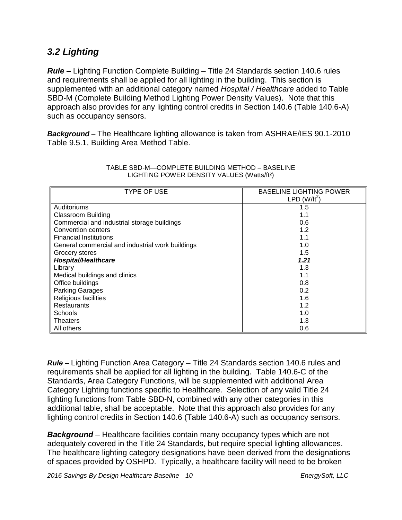# *3.2 Lighting*

*Rule –* Lighting Function Complete Building – Title 24 Standards section 140.6 rules and requirements shall be applied for all lighting in the building. This section is supplemented with an additional category named *Hospital / Healthcare* added to Table SBD-M (Complete Building Method Lighting Power Density Values). Note that this approach also provides for any lighting control credits in Section 140.6 (Table 140.6-A) such as occupancy sensors.

*Background* – The Healthcare lighting allowance is taken from ASHRAE/IES 90.1-2010 Table 9.5.1, Building Area Method Table.

| TYPE OF USE                                      | <b>BASELINE LIGHTING POWER</b> |
|--------------------------------------------------|--------------------------------|
|                                                  | LPD (W/ft <sup>2</sup> )       |
| Auditoriums                                      | 1.5                            |
| <b>Classroom Building</b>                        | 1.1                            |
| Commercial and industrial storage buildings      | 0.6                            |
| Convention centers                               | 1.2                            |
| <b>Financial Institutions</b>                    | 1.1                            |
| General commercial and industrial work buildings | 1.0                            |
| Grocery stores                                   | 1.5                            |
| <b>Hospital/Healthcare</b>                       | 1.21                           |
| Library                                          | 1.3                            |
| Medical buildings and clinics                    | 1.1                            |
| Office buildings                                 | 0.8                            |
| <b>Parking Garages</b>                           | 0.2                            |
| Religious facilities                             | 1.6                            |
| Restaurants                                      | 1.2                            |
| <b>Schools</b>                                   | 1.0                            |
| Theaters                                         | 1.3                            |
| All others                                       | 0.6                            |

#### TABLE SBD-M—COMPLETE BUILDING METHOD – BASELINE LIGHTING POWER DENSITY VALUES (Watts/ft²)

*Rule –* Lighting Function Area Category – Title 24 Standards section 140.6 rules and requirements shall be applied for all lighting in the building. Table 140.6-C of the Standards, Area Category Functions, will be supplemented with additional Area Category Lighting functions specific to Healthcare. Selection of any valid Title 24 lighting functions from Table SBD-N, combined with any other categories in this additional table, shall be acceptable. Note that this approach also provides for any lighting control credits in Section 140.6 (Table 140.6-A) such as occupancy sensors.

*Background* – Healthcare facilities contain many occupancy types which are not adequately covered in the Title 24 Standards, but require special lighting allowances. The healthcare lighting category designations have been derived from the designations of spaces provided by OSHPD. Typically, a healthcare facility will need to be broken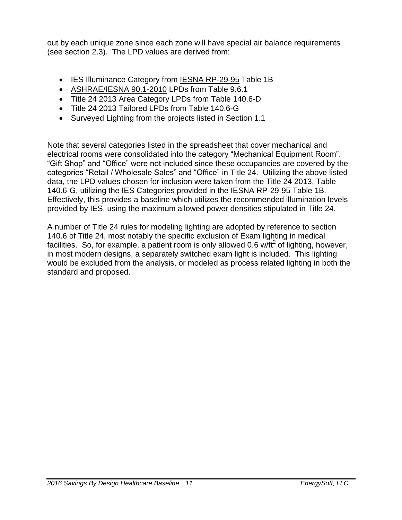out by each unique zone since each zone will have special air balance requirements (see section 2.3). The LPD values are derived from:

- IES Illuminance Category from IESNA RP-29-95 Table 1B
- ASHRAE/IESNA 90.1-2010 LPDs from Table 9.6.1
- Title 24 2013 Area Category LPDs from Table 140.6-D
- Title 24 2013 Tailored LPDs from Table 140.6-G
- Surveyed Lighting from the projects listed in Section 1.1

Note that several categories listed in the spreadsheet that cover mechanical and electrical rooms were consolidated into the category "Mechanical Equipment Room". "Gift Shop" and "Office" were not included since these occupancies are covered by the categories "Retail / Wholesale Sales" and "Office" in Title 24. Utilizing the above listed data, the LPD values chosen for inclusion were taken from the Title 24 2013, Table 140.6-G, utilizing the IES Categories provided in the IESNA RP-29-95 Table 1B. Effectively, this provides a baseline which utilizes the recommended illumination levels provided by IES, using the maximum allowed power densities stipulated in Title 24.

A number of Title 24 rules for modeling lighting are adopted by reference to section 140.6 of Title 24, most notably the specific exclusion of Exam lighting in medical facilities. So, for example, a patient room is only allowed 0.6 w/ $tt^2$  of lighting, however, in most modern designs, a separately switched exam light is included. This lighting would be excluded from the analysis, or modeled as process related lighting in both the standard and proposed.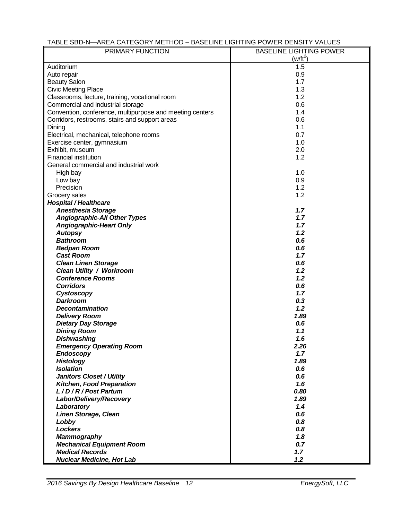| PRIMARY FUNCTION                                         | <b>BASELINE LIGHTING POWER</b> |
|----------------------------------------------------------|--------------------------------|
|                                                          | $(w/ft^2)$                     |
| Auditorium                                               | 1.5                            |
| Auto repair                                              | 0.9                            |
| <b>Beauty Salon</b>                                      | 1.7                            |
| <b>Civic Meeting Place</b>                               | 1.3                            |
| Classrooms, lecture, training, vocational room           | 1.2                            |
| Commercial and industrial storage                        | 0.6                            |
| Convention, conference, multipurpose and meeting centers | 1.4                            |
| Corridors, restrooms, stairs and support areas           | 0.6                            |
|                                                          | 1.1                            |
| Dining                                                   |                                |
| Electrical, mechanical, telephone rooms                  | 0.7                            |
| Exercise center, gymnasium                               | 1.0                            |
| Exhibit, museum                                          | 2.0                            |
| Financial institution                                    | 1.2                            |
| General commercial and industrial work                   |                                |
| High bay                                                 | 1.0                            |
| Low bay                                                  | 0.9                            |
| Precision                                                | 1.2                            |
| Grocery sales                                            | 1.2                            |
| <b>Hospital / Healthcare</b>                             |                                |
| <b>Anesthesia Storage</b>                                | 1.7                            |
| <b>Angiographic-All Other Types</b>                      | 1.7                            |
| <b>Angiographic-Heart Only</b>                           | 1.7                            |
| <b>Autopsy</b>                                           | 1.2                            |
| <b>Bathroom</b>                                          | 0.6                            |
| <b>Bedpan Room</b>                                       | 0.6                            |
| <b>Cast Room</b>                                         | 1.7                            |
| <b>Clean Linen Storage</b>                               | 0.6                            |
| <b>Clean Utility / Workroom</b>                          | 1.2                            |
| <b>Conference Rooms</b>                                  | 1.2                            |
| <b>Corridors</b>                                         | 0.6                            |
| <b>Cystoscopy</b>                                        | 1.7                            |
| <b>Darkroom</b>                                          | 0.3                            |
| <b>Decontamination</b>                                   | 1.2                            |
| <b>Delivery Room</b>                                     | 1.89                           |
| <b>Dietary Day Storage</b>                               | 0.6                            |
| <b>Dining Room</b>                                       | 1.1                            |
| Dishwashing                                              | 1.6                            |
| <b>Emergency Operating Room</b>                          | 2.26                           |
| <b>Endoscopy</b>                                         | 1.7                            |
| <b>Histology</b>                                         | 1.89                           |
| <b>Isolation</b>                                         | 0.6                            |
| Janitors Closet / Utility                                | 0.6                            |
| <b>Kitchen, Food Preparation</b>                         | 1.6                            |
| L/D/R/Post Partum                                        | 0.80                           |
| Labor/Delivery/Recovery                                  | 1.89                           |
| Laboratory                                               | 1.4                            |
| <b>Linen Storage, Clean</b>                              | 0.6                            |
| Lobby                                                    | 0.8                            |
| <b>Lockers</b>                                           | 0.8                            |
| <b>Mammography</b>                                       | 1.8                            |
| <b>Mechanical Equipment Room</b>                         | 0.7                            |
| <b>Medical Records</b>                                   | 1.7                            |
| <b>Nuclear Medicine, Hot Lab</b>                         | 1.2                            |

#### TABLE SBD-N—AREA CATEGORY METHOD – BASELINE LIGHTING POWER DENSITY VALUES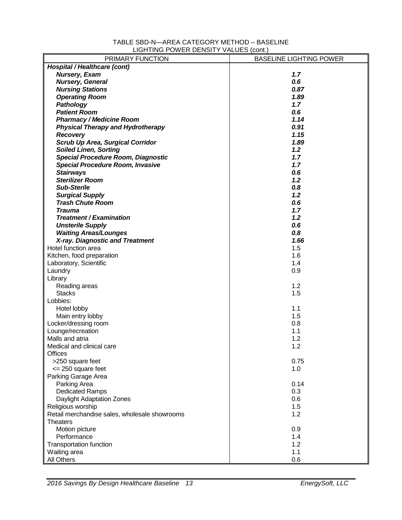| TABLE SBD-N-AREA CATEGORY METHOD - BASELINE |  |
|---------------------------------------------|--|
| LIGHTING POWER DENSITY VALUES (cont.)       |  |

| PRIMARY FUNCTION                              | <b>BASELINE LIGHTING POWER</b> |
|-----------------------------------------------|--------------------------------|
| Hospital / Healthcare (cont)                  |                                |
| <b>Nursery, Exam</b>                          | 1.7                            |
| <b>Nursery, General</b>                       | 0.6                            |
| <b>Nursing Stations</b>                       | 0.87                           |
| <b>Operating Room</b>                         | 1.89                           |
| Pathology                                     | 1.7                            |
| <b>Patient Room</b>                           | 0.6                            |
| <b>Pharmacy / Medicine Room</b>               | 1.14                           |
| <b>Physical Therapy and Hydrotherapy</b>      | 0.91                           |
| <b>Recovery</b>                               | 1.15                           |
| <b>Scrub Up Area, Surgical Corridor</b>       | 1.89                           |
| <b>Soiled Linen, Sorting</b>                  | 1.2                            |
| <b>Special Procedure Room, Diagnostic</b>     | 1.7                            |
| <b>Special Procedure Room, Invasive</b>       | 1.7                            |
| <b>Stairways</b>                              | 0.6                            |
| <b>Sterilizer Room</b>                        | 1.2                            |
| <b>Sub-Sterile</b>                            | 0.8                            |
| <b>Surgical Supply</b>                        | 1.2                            |
| <b>Trash Chute Room</b>                       | 0.6                            |
| <b>Trauma</b>                                 | 1.7                            |
|                                               | 1.2                            |
| <b>Treatment / Examination</b>                |                                |
| <b>Unsterile Supply</b>                       | 0.6                            |
| <b>Waiting Areas/Lounges</b>                  | 0.8                            |
| X-ray. Diagnostic and Treatment               | 1.66                           |
| Hotel function area                           | 1.5                            |
| Kitchen, food preparation                     | 1.6                            |
| Laboratory, Scientific                        | 1.4                            |
| Laundry                                       | 0.9                            |
| Library                                       |                                |
| Reading areas                                 | 1.2                            |
| <b>Stacks</b>                                 | 1.5                            |
| Lobbies:                                      |                                |
| Hotel lobby                                   | 1.1                            |
| Main entry lobby                              | 1.5                            |
| Locker/dressing room                          | 0.8                            |
| Lounge/recreation                             | 1.1                            |
| Malls and atria                               | 1.2                            |
| Medical and clinical care                     | 1.2                            |
| <b>Offices</b>                                |                                |
| >250 square feet                              | 0.75                           |
| $\leq$ 250 square feet                        | 1.0                            |
| Parking Garage Area                           |                                |
| Parking Area                                  | 0.14                           |
| <b>Dedicated Ramps</b>                        | 0.3                            |
| Daylight Adaptation Zones                     | 0.6                            |
| Religious worship                             | 1.5                            |
| Retail merchandise sales, wholesale showrooms | 1.2                            |
| <b>Theaters</b>                               |                                |
| Motion picture                                | 0.9                            |
| Performance                                   | 1.4                            |
| <b>Transportation function</b>                | 1.2                            |
| Waiting area                                  | 1.1                            |
| All Others                                    | 0.6                            |
|                                               |                                |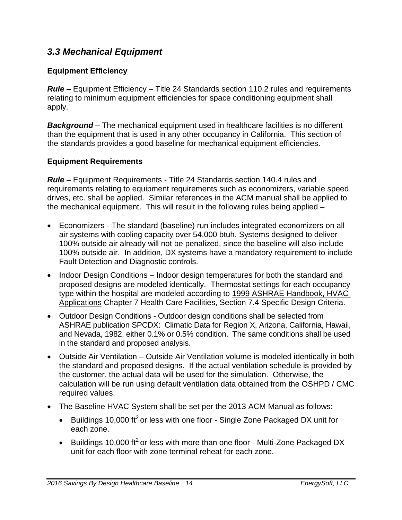# *3.3 Mechanical Equipment*

### **Equipment Efficiency**

*Rule –* Equipment Efficiency – Title 24 Standards section 110.2 rules and requirements relating to minimum equipment efficiencies for space conditioning equipment shall apply.

*Background* – The mechanical equipment used in healthcare facilities is no different than the equipment that is used in any other occupancy in California. This section of the standards provides a good baseline for mechanical equipment efficiencies.

### **Equipment Requirements**

*Rule –* Equipment Requirements - Title 24 Standards section 140.4 rules and requirements relating to equipment requirements such as economizers, variable speed drives, etc. shall be applied. Similar references in the ACM manual shall be applied to the mechanical equipment. This will result in the following rules being applied –

- Economizers The standard (baseline) run includes integrated economizers on all air systems with cooling capacity over 54,000 btuh. Systems designed to deliver 100% outside air already will not be penalized, since the baseline will also include 100% outside air. In addition, DX systems have a mandatory requirement to include Fault Detection and Diagnostic controls.
- Indoor Design Conditions Indoor design temperatures for both the standard and proposed designs are modeled identically. Thermostat settings for each occupancy type within the hospital are modeled according to 1999 ASHRAE Handbook, HVAC Applications Chapter 7 Health Care Facilities, Section 7.4 Specific Design Criteria.
- Outdoor Design Conditions Outdoor design conditions shall be selected from ASHRAE publication SPCDX: Climatic Data for Region X, Arizona, California, Hawaii, and Nevada, 1982, either 0.1% or 0.5% condition. The same conditions shall be used in the standard and proposed analysis.
- Outside Air Ventilation Outside Air Ventilation volume is modeled identically in both the standard and proposed designs. If the actual ventilation schedule is provided by the customer, the actual data will be used for the simulation. Otherwise, the calculation will be run using default ventilation data obtained from the OSHPD / CMC required values.
- The Baseline HVAC System shall be set per the 2013 ACM Manual as follows:
	- Buildings 10,000 ft<sup>2</sup> or less with one floor Single Zone Packaged DX unit for each zone.
	- Buildings 10,000 ft<sup>2</sup> or less with more than one floor Multi-Zone Packaged DX unit for each floor with zone terminal reheat for each zone.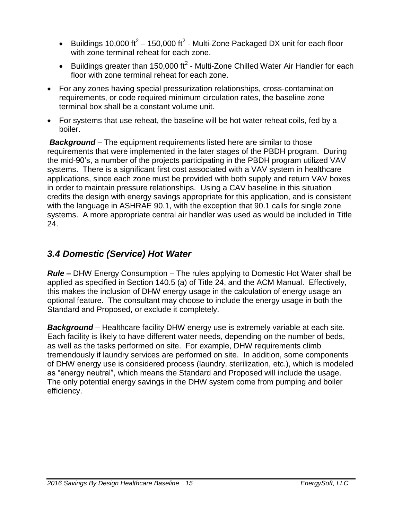- Buildings 10,000 ft<sup>2</sup> 150,000 ft<sup>2</sup> Multi-Zone Packaged DX unit for each floor with zone terminal reheat for each zone.
- Buildings greater than 150,000 ft<sup>2</sup> Multi-Zone Chilled Water Air Handler for each floor with zone terminal reheat for each zone.
- For any zones having special pressurization relationships, cross-contamination requirements, or code required minimum circulation rates, the baseline zone terminal box shall be a constant volume unit.
- For systems that use reheat, the baseline will be hot water reheat coils, fed by a boiler.

*Background* – The equipment requirements listed here are similar to those requirements that were implemented in the later stages of the PBDH program. During the mid-90's, a number of the projects participating in the PBDH program utilized VAV systems. There is a significant first cost associated with a VAV system in healthcare applications, since each zone must be provided with both supply and return VAV boxes in order to maintain pressure relationships. Using a CAV baseline in this situation credits the design with energy savings appropriate for this application, and is consistent with the language in ASHRAE 90.1, with the exception that 90.1 calls for single zone systems. A more appropriate central air handler was used as would be included in Title 24.

# *3.4 Domestic (Service) Hot Water*

*Rule –* DHW Energy Consumption – The rules applying to Domestic Hot Water shall be applied as specified in Section 140.5 (a) of Title 24, and the ACM Manual. Effectively, this makes the inclusion of DHW energy usage in the calculation of energy usage an optional feature. The consultant may choose to include the energy usage in both the Standard and Proposed, or exclude it completely.

*Background* – Healthcare facility DHW energy use is extremely variable at each site. Each facility is likely to have different water needs, depending on the number of beds, as well as the tasks performed on site. For example, DHW requirements climb tremendously if laundry services are performed on site. In addition, some components of DHW energy use is considered process (laundry, sterilization, etc.), which is modeled as "energy neutral", which means the Standard and Proposed will include the usage. The only potential energy savings in the DHW system come from pumping and boiler efficiency.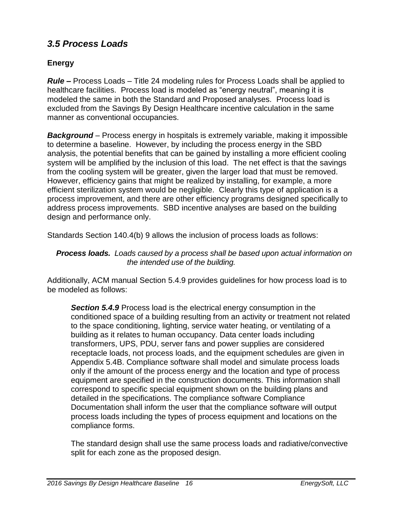# *3.5 Process Loads*

### **Energy**

*Rule –* Process Loads – Title 24 modeling rules for Process Loads shall be applied to healthcare facilities. Process load is modeled as "energy neutral", meaning it is modeled the same in both the Standard and Proposed analyses. Process load is excluded from the Savings By Design Healthcare incentive calculation in the same manner as conventional occupancies.

*Background* – Process energy in hospitals is extremely variable, making it impossible to determine a baseline. However, by including the process energy in the SBD analysis, the potential benefits that can be gained by installing a more efficient cooling system will be amplified by the inclusion of this load. The net effect is that the savings from the cooling system will be greater, given the larger load that must be removed. However, efficiency gains that might be realized by installing, for example, a more efficient sterilization system would be negligible. Clearly this type of application is a process improvement, and there are other efficiency programs designed specifically to address process improvements. SBD incentive analyses are based on the building design and performance only.

Standards Section 140.4(b) 9 allows the inclusion of process loads as follows:

#### *Process loads. Loads caused by a process shall be based upon actual information on the intended use of the building.*

Additionally, ACM manual Section 5.4.9 provides guidelines for how process load is to be modeled as follows:

*Section 5.4.9* Process load is the electrical energy consumption in the conditioned space of a building resulting from an activity or treatment not related to the space conditioning, lighting, service water heating, or ventilating of a building as it relates to human occupancy. Data center loads including transformers, UPS, PDU, server fans and power supplies are considered receptacle loads, not process loads, and the equipment schedules are given in Appendix 5.4B. Compliance software shall model and simulate process loads only if the amount of the process energy and the location and type of process equipment are specified in the construction documents. This information shall correspond to specific special equipment shown on the building plans and detailed in the specifications. The compliance software Compliance Documentation shall inform the user that the compliance software will output process loads including the types of process equipment and locations on the compliance forms.

The standard design shall use the same process loads and radiative/convective split for each zone as the proposed design.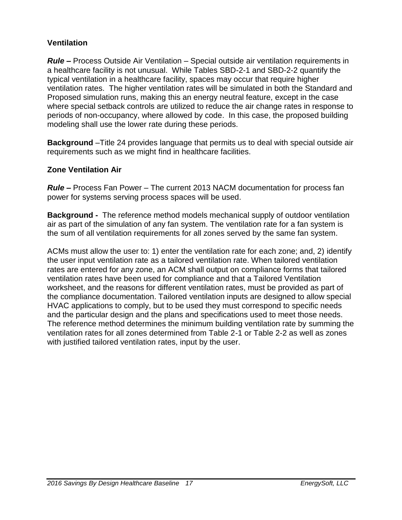### **Ventilation**

*Rule –* Process Outside Air Ventilation – Special outside air ventilation requirements in a healthcare facility is not unusual. While Tables SBD-2-1 and SBD-2-2 quantify the typical ventilation in a healthcare facility, spaces may occur that require higher ventilation rates. The higher ventilation rates will be simulated in both the Standard and Proposed simulation runs, making this an energy neutral feature, except in the case where special setback controls are utilized to reduce the air change rates in response to periods of non-occupancy, where allowed by code. In this case, the proposed building modeling shall use the lower rate during these periods.

**Background** –Title 24 provides language that permits us to deal with special outside air requirements such as we might find in healthcare facilities.

### **Zone Ventilation Air**

*Rule –* Process Fan Power – The current 2013 NACM documentation for process fan power for systems serving process spaces will be used.

**Background -** The reference method models mechanical supply of outdoor ventilation air as part of the simulation of any fan system. The ventilation rate for a fan system is the sum of all ventilation requirements for all zones served by the same fan system.

ACMs must allow the user to: 1) enter the ventilation rate for each zone; and, 2) identify the user input ventilation rate as a tailored ventilation rate. When tailored ventilation rates are entered for any zone, an ACM shall output on compliance forms that tailored ventilation rates have been used for compliance and that a Tailored Ventilation worksheet, and the reasons for different ventilation rates, must be provided as part of the compliance documentation. Tailored ventilation inputs are designed to allow special HVAC applications to comply, but to be used they must correspond to specific needs and the particular design and the plans and specifications used to meet those needs. The reference method determines the minimum building ventilation rate by summing the ventilation rates for all zones determined from Table 2-1 or Table 2-2 as well as zones with justified tailored ventilation rates, input by the user.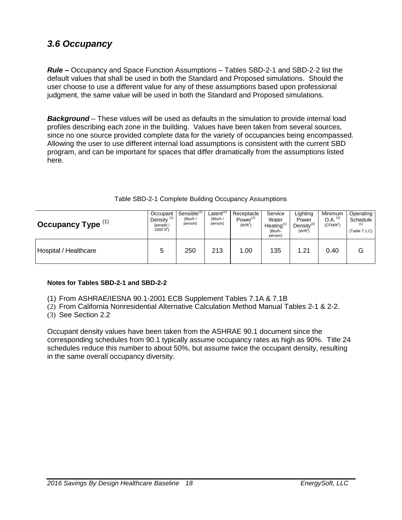# *3.6 Occupancy*

*Rule –* Occupancy and Space Function Assumptions – Tables SBD-2-1 and SBD-2-2 list the default values that shall be used in both the Standard and Proposed simulations. Should the user choose to use a different value for any of these assumptions based upon professional judgment, the same value will be used in both the Standard and Proposed simulations.

**Background** – These values will be used as defaults in the simulation to provide internal load profiles describing each zone in the building. Values have been taken from several sources, since no one source provided complete data for the variety of occupancies being encompassed. Allowing the user to use different internal load assumptions is consistent with the current SBD program, and can be important for spaces that differ dramatically from the assumptions listed here.

| Occupancy Type (1)    | Occupant<br>Density \<br>(people /<br>1000 ft <sup>2</sup> ) | Sensible <sup>(2)</sup><br>(Btu/h /<br>person) | $\text{Latent}^{(2)}$<br>(Btu/h /<br>person) | Receptacle<br>Power $(1)$<br>$(W/\text{ft}^2)$ | Service<br>Water<br>Heating $(1)$<br>(Btu/h-<br>person) | Lighting<br>Power<br>Density $^{(3)}$<br>$(W/ft^2)$ | Minimum<br>$O.A.$ <sup>(1)</sup><br>$(CFM/ft^2)$ | Operating<br>Schedule<br>(Table 7.1.C) |
|-----------------------|--------------------------------------------------------------|------------------------------------------------|----------------------------------------------|------------------------------------------------|---------------------------------------------------------|-----------------------------------------------------|--------------------------------------------------|----------------------------------------|
| Hospital / Healthcare | 5                                                            | 250                                            | 213                                          | 1.00                                           | 135                                                     | 1.21                                                | 0.40                                             | G                                      |

| Table SBD-2-1 Complete Building Occupancy Assumptions |  |  |  |  |
|-------------------------------------------------------|--|--|--|--|
|-------------------------------------------------------|--|--|--|--|

#### **Notes for Tables SBD-2-1 and SBD-2-2**

- (1) From ASHRAE/IESNA 90.1-2001 ECB Supplement Tables 7.1A & 7.1B
- (2) From California Nonresidential Alternative Calculation Method Manual Tables 2-1 & 2-2.
- (3) See Section 2.2

Occupant density values have been taken from the ASHRAE 90.1 document since the corresponding schedules from 90.1 typically assume occupancy rates as high as 90%. Title 24 schedules reduce this number to about 50%, but assume twice the occupant density, resulting in the same overall occupancy diversity.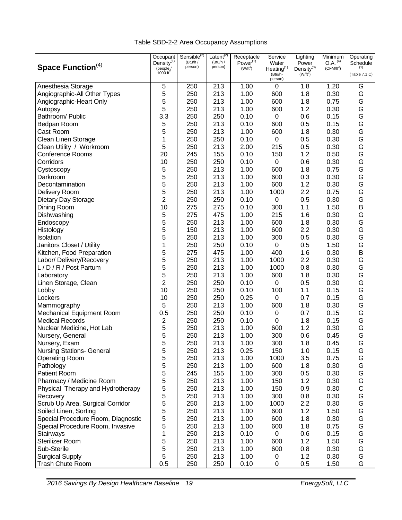### Table SBD-2-2 Area Occupancy Assumptions

|                                    | Occupant                | Sensible <sup>(2)</sup> | Latent <sup>(2)</sup> | Receptacle                | Service                           | Lighting                             | Minimum                                         | Operating        |
|------------------------------------|-------------------------|-------------------------|-----------------------|---------------------------|-----------------------------------|--------------------------------------|-------------------------------------------------|------------------|
| Space Function <sup>(4)</sup>      | Density $(1)$           | (Btu/h /<br>person)     | (Btu/h /<br>person)   | Power $(1)$<br>$(W/ft^2)$ | Water                             | Power                                | $O.A.$ <sup>(4)</sup><br>(CFM/ft <sup>2</sup> ) | Schedule<br>(1)  |
|                                    | (people/<br>1000 $ft^2$ |                         |                       |                           | Heating <sup>(1)</sup><br>(Btu/h- | Density <sup>(3)</sup><br>$(W/ft^2)$ |                                                 | (Table 7.1.C)    |
|                                    |                         |                         |                       |                           | person)                           |                                      |                                                 |                  |
| Anesthesia Storage                 | 5                       | 250                     | 213                   | 1.00                      | $\pmb{0}$                         | 1.8                                  | 1.20                                            | G                |
| Angiographic-All Other Types       | 5                       | 250                     | 213                   | 1.00                      | 600                               | 1.8                                  | 0.30                                            | G                |
| Angiographic-Heart Only            | 5                       | 250                     | 213                   | 1.00                      | 600                               | 1.8                                  | 0.75                                            | G                |
| Autopsy                            | 5                       | 250                     | 213                   | 1.00                      | 600                               | 1.2                                  | 0.30                                            | G                |
| Bathroom/ Public                   | 3.3                     | 250                     | 250                   | 0.10                      | $\pmb{0}$                         | 0.6                                  | 0.15                                            | G                |
| Bedpan Room                        | 5                       | 250                     | 213                   | 0.10                      | 600                               | 0.5                                  | 0.15                                            | G                |
| Cast Room                          | 5                       | 250                     | 213                   | 1.00                      | 600                               | 1.8                                  | 0.30                                            | G                |
| Clean Linen Storage                | 1                       | 250                     | 250                   | 0.10                      | $\pmb{0}$                         | 0.5                                  | 0.30                                            | G                |
| Clean Utility / Workroom           | 5                       | 250                     | 213                   | 2.00                      | 215                               | 0.5                                  | 0.30                                            | G                |
| <b>Conference Rooms</b>            | 20                      | 245                     | 155                   | 0.10                      | 150                               | 1.2                                  | 0.50                                            | G                |
| Corridors                          | 10                      | 250                     | 250                   | 0.10                      | $\pmb{0}$                         | 0.6                                  | 0.30                                            | G                |
| Cystoscopy                         | 5                       | 250                     | 213                   | 1.00                      | 600                               | 1.8                                  | 0.75                                            | G                |
| Darkroom                           | 5                       | 250                     | 213                   | 1.00                      | 600                               | 0.3                                  | 0.30                                            | G                |
| Decontamination                    | 5                       | 250                     | 213                   | 1.00                      | 600                               | 1.2                                  | 0.30                                            | G                |
| Delivery Room                      | 5                       | 250                     | 213                   | 1.00                      | 1000                              | 2.2                                  | 0.75                                            | G<br>G           |
| Dietary Day Storage                | $\overline{2}$          | 250                     | 250                   | 0.10                      | 0                                 | 0.5                                  | 0.30                                            |                  |
| Dining Room                        | 10                      | 275                     | 275                   | 0.10                      | 300                               | 1.1                                  | 1.50                                            | $\sf B$          |
| Dishwashing                        | 5                       | 275                     | 475                   | 1.00                      | 215                               | 1.6                                  | 0.30                                            | G                |
| Endoscopy                          | 5                       | 250                     | 213                   | 1.00                      | 600                               | 1.8                                  | 0.30                                            | G                |
| Histology                          | 5                       | 150                     | 213                   | 1.00                      | 600                               | 2.2                                  | 0.30                                            | G                |
| Isolation                          | 5                       | 250                     | 213                   | 1.00                      | 300                               | 0.5                                  | 0.30                                            | G                |
| Janitors Closet / Utility          | 1                       | 250                     | 250                   | 0.10                      | $\mathbf 0$                       | 0.5                                  | 1.50                                            | G                |
| Kitchen, Food Preparation          | 5                       | 275                     | 475                   | 1.00                      | 400                               | 1.6                                  | 0.30                                            | $\sf B$          |
| Labor/ Delivery/Recovery           | $\mathbf 5$             | 250                     | 213                   | 1.00                      | 1000                              | 2.2                                  | 0.30                                            | G                |
| L/D/R/Post Partum                  | 5                       | 250                     | 213                   | 1.00                      | 1000                              | 0.8                                  | 0.30                                            | G                |
| Laboratory                         | 5                       | 250                     | 213                   | 1.00                      | 600                               | 1.8                                  | 0.30                                            | G                |
| Linen Storage, Clean               | $\overline{c}$          | 250                     | 250                   | 0.10                      | 0                                 | 0.5                                  | 0.30                                            | G<br>G           |
| Lobby                              | 10                      | 250                     | 250                   | 0.10                      | 100                               | 1.1                                  | 0.15                                            |                  |
| Lockers                            | 10                      | 250                     | 250                   | 0.25                      | $\boldsymbol{0}$                  | 0.7                                  | 0.15                                            | G                |
| Mammography                        | 5                       | 250                     | 213                   | 1.00                      | 600                               | 1.8                                  | 0.30                                            | G                |
| Mechanical Equipment Room          | 0.5                     | 250                     | 250                   | 0.10                      | $\pmb{0}$                         | 0.7                                  | 0.15                                            | G                |
| <b>Medical Records</b>             | $\overline{2}$          | 250                     | 250                   | 0.10                      | $\boldsymbol{0}$                  | 1.8                                  | 0.15                                            | G                |
| Nuclear Medicine, Hot Lab          | 5                       | 250                     | 213                   | 1.00                      | 600                               | 1.2                                  | 0.30                                            | G                |
| Nursery, General                   | 5                       | 250                     | 213                   | 1.00                      | 300                               | 0.6                                  | 0.45                                            | G                |
| Nursery, Exam                      | 5                       | 250                     | 213                   | 1.00                      | 300                               | 1.8                                  | 0.45                                            | G                |
| <b>Nursing Stations- General</b>   | 5                       | 250                     | 213                   | 0.25                      | 150                               | 1.0                                  | 0.15                                            | G                |
| <b>Operating Room</b>              | 5                       | 250                     | 213                   | 1.00                      | 1000                              | 3.5                                  | 0.75                                            | G                |
| Pathology                          | 5                       | 250                     | 213                   | 1.00                      | 600                               | 1.8                                  | 0.30                                            | G                |
| Patient Room                       | 5                       | 245                     | 155                   | 1.00                      | 300                               | 0.5                                  | 0.30                                            |                  |
| Pharmacy / Medicine Room           | 5                       | 250                     | 213                   | 1.00                      | 150                               | 1.2                                  | 0.30                                            | G<br>G<br>C<br>G |
| Physical Therapy and Hydrotherapy  | 5                       | 250                     | 213                   | 1.00                      | 150                               | 0.9                                  | 0.30                                            |                  |
| Recovery                           | 5                       | 250                     | 213                   | 1.00                      | 300                               | 0.8                                  | 0.30                                            |                  |
| Scrub Up Area, Surgical Corridor   | 5                       | 250                     | 213                   | 1.00                      | 1000                              | 2.2                                  | 0.30                                            | G                |
| Soiled Linen, Sorting              | 5                       | 250                     | 213                   | 1.00                      | 600                               | 1.2                                  | 1.50                                            | G                |
| Special Procedure Room, Diagnostic | 5                       | 250                     | 213                   | 1.00                      | 600                               | 1.8                                  | 0.30                                            | G                |
| Special Procedure Room, Invasive   | 5                       | 250                     | 213                   | 1.00                      | 600                               | 1.8                                  | 0.75                                            | G                |
| Stairways                          | 1                       | 250                     | 213                   | 0.10                      | $\mathbf 0$                       | 0.6                                  | 0.15                                            |                  |
| Sterilizer Room                    | 5                       | 250                     | 213                   | 1.00                      | 600                               | 1.2                                  | 1.50                                            | G<br>G           |
| Sub-Sterile                        | $\mathbf 5$             | 250                     | 213                   | 1.00                      | 600                               | 0.8                                  | 0.30                                            | G                |
| <b>Surgical Supply</b>             | 5                       | 250                     | 213                   | 1.00                      | 0                                 | 1.2                                  | 0.30                                            | G                |
| Trash Chute Room                   | 0.5                     | 250                     | 250                   | 0.10                      | $\pmb{0}$                         | 0.5                                  | 1.50                                            | G                |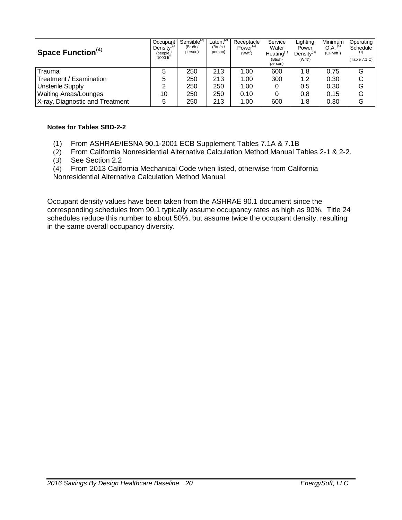| Space Function $(4)$            | Occupant<br>Density $(1)$<br>(people /<br>1000 $ft^2$ | Sensible <sup>(2)</sup><br>(Btu/h/<br>person) | $\overline{\mathsf{a}^{\mathsf{t}}$ atent <sup>(2)</sup><br>(Btu/h /<br>person) | Receptacle<br>Power $(1)$<br>$(W/\text{ft}^2)$ | Service<br>Water<br>Heating <sup>(</sup> )<br>(Btu/h-<br>person) | Lighting<br>Power<br>Density $^{(3)}$<br>$(W/ft^2)$ | Minimum<br>$O.A.$ <sup>(4)</sup><br>$(CFM/ft^2)$ | Operating<br>Schedule<br>(1)<br>(Table 7.1.C) |
|---------------------------------|-------------------------------------------------------|-----------------------------------------------|---------------------------------------------------------------------------------|------------------------------------------------|------------------------------------------------------------------|-----------------------------------------------------|--------------------------------------------------|-----------------------------------------------|
| Trauma                          | 5                                                     | 250                                           | 213                                                                             | 1.00                                           | 600                                                              | 1.8                                                 | 0.75                                             | G                                             |
| Treatment / Examination         | 5                                                     | 250                                           | 213                                                                             | 1.00                                           | 300                                                              | 1.2                                                 | 0.30                                             | C                                             |
| <b>Unsterile Supply</b>         | 2                                                     | 250                                           | 250                                                                             | 1.00                                           |                                                                  | 0.5                                                 | 0.30                                             | G                                             |
| <b>Waiting Areas/Lounges</b>    | 10                                                    | 250                                           | 250                                                                             | 0.10                                           |                                                                  | 0.8                                                 | 0.15                                             | G                                             |
| X-ray, Diagnostic and Treatment | 5                                                     | 250                                           | 213                                                                             | 1.00                                           | 600                                                              | 1.8                                                 | 0.30                                             | G                                             |

#### **Notes for Tables SBD-2-2**

- (1) From ASHRAE/IESNA 90.1-2001 ECB Supplement Tables 7.1A & 7.1B
- (2) From California Nonresidential Alternative Calculation Method Manual Tables 2-1 & 2-2.
- (3) See Section 2.2
- (4) From 2013 California Mechanical Code when listed, otherwise from California

Nonresidential Alternative Calculation Method Manual.

Occupant density values have been taken from the ASHRAE 90.1 document since the corresponding schedules from 90.1 typically assume occupancy rates as high as 90%. Title 24 schedules reduce this number to about 50%, but assume twice the occupant density, resulting in the same overall occupancy diversity.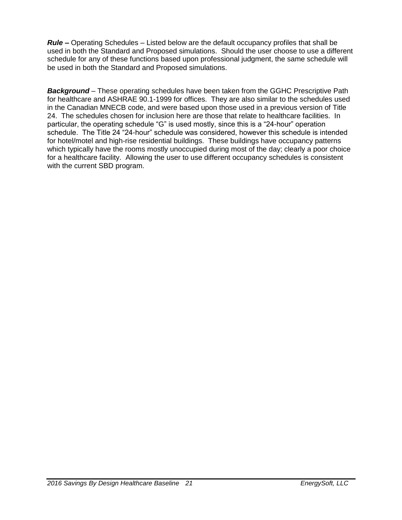*Rule –* Operating Schedules – Listed below are the default occupancy profiles that shall be used in both the Standard and Proposed simulations. Should the user choose to use a different schedule for any of these functions based upon professional judgment, the same schedule will be used in both the Standard and Proposed simulations.

*Background* – These operating schedules have been taken from the GGHC Prescriptive Path for healthcare and ASHRAE 90.1-1999 for offices. They are also similar to the schedules used in the Canadian MNECB code, and were based upon those used in a previous version of Title 24. The schedules chosen for inclusion here are those that relate to healthcare facilities. In particular, the operating schedule "G" is used mostly, since this is a "24-hour" operation schedule. The Title 24 "24-hour" schedule was considered, however this schedule is intended for hotel/motel and high-rise residential buildings. These buildings have occupancy patterns which typically have the rooms mostly unoccupied during most of the day; clearly a poor choice for a healthcare facility. Allowing the user to use different occupancy schedules is consistent with the current SBD program.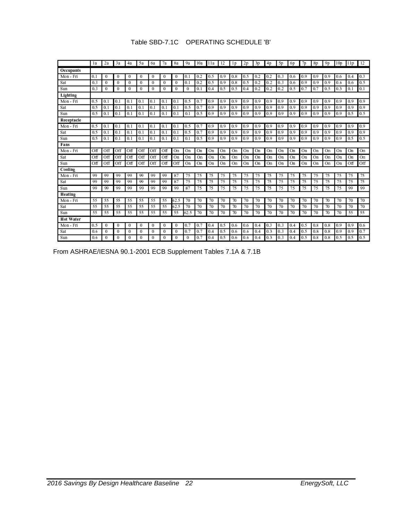|                  | 1a  | 2a  | За  | 4a  | 5a  | 6а  | 7a  | 8a   | 9а   | 10a | 11a | 12  | 1p  | 2p  | 3p  | 4p  | 5p  | 6p  | 7p  | 8p  | 9p  | 10p | 11p | 12  |
|------------------|-----|-----|-----|-----|-----|-----|-----|------|------|-----|-----|-----|-----|-----|-----|-----|-----|-----|-----|-----|-----|-----|-----|-----|
| Occupants        |     |     |     |     |     |     |     |      |      |     |     |     |     |     |     |     |     |     |     |     |     |     |     |     |
| Mon - Fri        | 0.1 | 0   | 0   | 0   | 0   | 0   | 0   | 0    | 0.1  | 0.2 | 0.5 | 0.9 | 0.8 | 0.5 | 0.2 | 0.2 | 0.3 | 0.6 | 0.9 | 0.9 | 0.9 | 0.6 | 0.4 | 0.3 |
| Sat              | 0.3 | 0   | 0   | 0   | 0   | 0   | 0   | 0    | 0.1  | 0.2 | 0.5 | 0.9 | 0.8 | 0.5 | 0.2 | 0.2 | 0.3 | 0.6 | 0.9 | 0.9 | 0.9 | 0.6 | 0.6 | 0.5 |
| Sun              | 0.3 | 0   | 0   | 0   | 0   | 0   | 0   | 0    | 0    | 0.1 | 0.4 | 0.5 | 0.5 | 0.4 | 0.2 | 0.2 | 0.2 | 0.5 | 0.7 | 0.7 | 0.5 | 0.3 | 0.1 | 0.1 |
| Lighting         |     |     |     |     |     |     |     |      |      |     |     |     |     |     |     |     |     |     |     |     |     |     |     |     |
| Mon - Fri        | 0.5 | 0.1 | 0.1 | 0.1 | 0.1 | 0.1 | 0.1 | 0.1  | 0.5  | 0.7 | 0.9 | 0.9 | 0.9 | 0.9 | 0.9 | 0.9 | 0.9 | 0.9 | 0.9 | 0.9 | 0.9 | 0.9 | 0.9 | 0.9 |
| Sat              | 0.5 | 0.1 | 0.1 | 0.1 | 0.1 | 0.1 | 0.1 | 0.1  | 0.5  | 0.7 | 0.9 | 0.9 | 0.9 | 0.9 | 0.9 | 0.9 | 0.9 | 0.9 | 0.9 | 0.9 | 0.9 | 0.9 | 0.9 | 0.9 |
| Sun              | 0.5 | 0.1 | 0.1 | 0.1 | 0.1 | 0.1 | 0.1 | 0.1  | 0.1  | 0.5 | 0.9 | 0.9 | 0.9 | 0.9 | 0.9 | 0.9 | 0.9 | 0.9 | 0.9 | 0.9 | 0.9 | 0.9 | 0.5 | 0.5 |
| Receptacle       |     |     |     |     |     |     |     |      |      |     |     |     |     |     |     |     |     |     |     |     |     |     |     |     |
| Mon - Fri        | 0.5 | 0.1 | 0.1 | 0.1 | 0.1 | 0.1 | 0.1 | 0.1  | 0.5  | 0.7 | 0.9 | 0.9 | 0.9 | 0.9 | 0.9 | 0.9 | 0.9 | 0.9 | 0.9 | 0.9 | 0.9 | 0.9 | 0.9 | 0.9 |
| Sat              | 0.5 | 0.1 | 0.1 | 0.1 | 0.1 | 0.1 | 0.1 | 0.1  | 0.5  | 0.7 | 0.9 | 0.9 | 0.9 | 0.9 | 0.9 | 0.9 | 0.9 | 0.9 | 0.9 | 0.9 | 0.9 | 0.9 | 0.9 | 0.9 |
| Sun              | 0.5 | 0.1 | 0.1 | 0.1 | 0.1 | 0.1 | 0.1 | 0.1  | 0.1  | 0.5 | 0.9 | 0.9 | 0.9 | 0.9 | 0.9 | 0.9 | 0.9 | 0.9 | 0.9 | 0.9 | 0.9 | 0.9 | 0.5 | 0.5 |
| Fans             |     |     |     |     |     |     |     |      |      |     |     |     |     |     |     |     |     |     |     |     |     |     |     |     |
| Mon - Fri        | Off | Off | Off | Off | Off | Off | Off | On   | On   | On  | On  | On  | On  | On  | On  | On  | On  | On  | On  | On  | On  | On  | On  | On  |
| Sat              | Off | Off | Off | Off | Off | Off | Off | On   | On   | On  | On  | On  | On  | On  | On  | On  | On  | On  | On  | On  | On  | On  | On  | On  |
| Sun              | Off | Off | Off | Off | Off | Off | Off | Off  | On   | On  | On  | On  | On  | On  | On  | On  | On  | On  | On  | On  | On  | On  | Off | Off |
| Cooling          |     |     |     |     |     |     |     |      |      |     |     |     |     |     |     |     |     |     |     |     |     |     |     |     |
| Mon - Fri        | 99  | 99  | 99  | 99  | 99  | 99  | 99  | 87   | 75   | 75  | 75  | 75  | 75  | 75  | 75  | 75  | 75  | 75  | 75  | 75  | 75  | 75  | 75  | 75  |
| Sat              | 99  | 99  | 99  | 99  | 99  | 99  | 99  | 87   | 75   | 75  | 75  | 75  | 75  | 75  | 75  | 75  | 75  | 75  | 75  | 75  | 75  | 75  | 75  | 75  |
| Sun              | 99  | 99  | 99  | 99  | 99  | 99  | 99  | 99   | 87   | 75  | 75  | 75  | 75  | 75  | 75  | 75  | 75  | 75  | 75  | 75  | 75  | 75  | 99  | 99  |
| Heating          |     |     |     |     |     |     |     |      |      |     |     |     |     |     |     |     |     |     |     |     |     |     |     |     |
| Mon - Fri        | 55  | 55  | 55  | 55  | 55  | 55  | 55  | 62.5 | 70   | 70  | 70  | 70  | 70  | 70  | 70  | 70  | 70  | 70  | 70  | 70  | 70  | 70  | 70  | 70  |
| Sat              | 55  | 55  | 55  | 55  | 55  | 55  | 55  | 62.5 | 70   | 70  | 70  | 70  | 70  | 70  | 70  | 70  | 70  | 70  | 70  | 70  | 70  | 70  | 70  | 70  |
| Sun              | 55  | 55  | 55  | 55  | 55  | 55  | 55  | 55   | 62.5 | 70  | 70  | 70  | 70  | 70  | 70  | 70  | 70  | 70  | 70  | 70  | 70  | 70  | 55  | 55  |
| <b>Hot Water</b> |     |     |     |     |     |     |     |      |      |     |     |     |     |     |     |     |     |     |     |     |     |     |     |     |
| Mon - Fri        | 0.5 | 0   | 0   | 0   | 0   | 0   | 0   | 0    | 0.7  | 0.  | 0.4 | 0.5 | 0.6 | 0.6 | 0.4 | 0.3 | 0.3 | 0.4 | 0.5 | 0.8 | 0.8 | 0.9 | 0.9 | 0.6 |
| Sat              | 0.6 | 0   | 0   | 0   | 0   | 0   | 0   | 0    | 0.7  | 0.7 | 0.4 | 0.5 | 0.6 | 0.6 | 0.4 | 0.3 | 0.3 | 0.4 | 0.5 | 0.8 | 0.8 | 0.9 | 0.9 | 0.7 |
| Sun              | 0.6 | 0   | 0   | 0   | 0   | 0   | 0   | 0    | 0    | 0.7 | 0.4 | 0.5 | 0.6 | 0.6 | 0.4 | 0.3 | 0.3 | 0.4 | 0.5 | 0.8 | 0.8 | 0.5 | 0.5 | 0.5 |

#### Table SBD-7.1C OPERATING SCHEDULE 'B'

From ASHRAE/IESNA 90.1-2001 ECB Supplement Tables 7.1A & 7.1B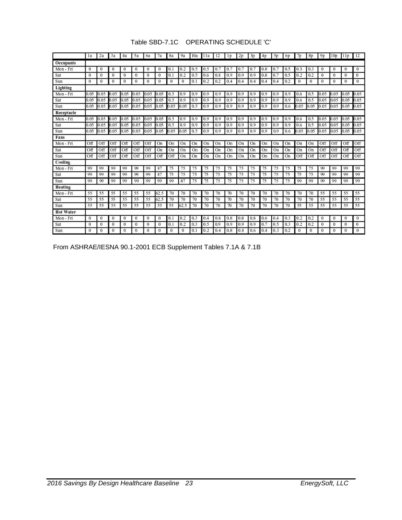|                  | la   | 2a   | 3a         | 4a   | 5a   | 6a   | 7a   | 8a   | 9а   | 10a | l la | 12  | 1p  | 2p  | 3p  | 4p  | 5p  | 6p  | 7p   | 8p   | 9p   | 10p  | 11p  | 12   |
|------------------|------|------|------------|------|------|------|------|------|------|-----|------|-----|-----|-----|-----|-----|-----|-----|------|------|------|------|------|------|
| Occupants        |      |      |            |      |      |      |      |      |      |     |      |     |     |     |     |     |     |     |      |      |      |      |      |      |
| Mon-Fri          | 0    | 0    | $\theta$   | 0    | 0    | 0    | 0    | 0.1  | 0.2  | 0.5 | 0.5  | 0.7 | 0.7 | 0.7 | 0.7 | 0.8 | 0.7 | 0.5 | 0.3  | 0.3  | 0    | 0    | 0    | 0    |
| Sat              | 0    | 0    | 0          | 0    | 0    | 0    | 0    | 0.1  | 0.2  | 0.5 | 0.6  | 0.8 | 0.9 | 0.9 | 0.9 | 0.8 | 0.7 | 0.5 | 0.2  | 0.2  | 0    | 0    | 0    | 0    |
| Sun              | 0    | 0    | 0          | 0    | 0    | 0    | 0    | 0    | 0    | 0.1 | 0.2  | 0.2 | 0.4 | 0.4 | 0.4 | 0.4 | 0.4 | 0.2 | 0    | 0    | 0    | 0    | 0    | 0    |
| Lighting         |      |      |            |      |      |      |      |      |      |     |      |     |     |     |     |     |     |     |      |      |      |      |      |      |
| Mon - Fri        | 0.05 | 0.05 | 0.OS       | 0.05 | 0.05 | 0.05 | 0.05 | 0.5  | 0.9  | 0.9 | 0.9  | 0.9 | 0.9 | 0.9 | 0.9 | 0.9 | 0.9 | 0.9 | 0.6  | 0.5  | 0.05 | D.O5 | 0.05 | 0.05 |
| Sat              | 0.05 | 0.05 | 0.05       | 0.05 | 0.05 | 0.05 | 0.05 | 0.5  | 0.9  | 0.9 | 0.9  | 0.9 | 0.9 | 0.9 | 0.9 | 0.9 | 0.9 | 0.9 | 0.6  | 0.5  | 0.05 | 0.05 | 0.05 | 0.05 |
| Sun              | 0.05 | 0.05 | 0.05       | 0.05 | 0.05 | 0.05 | 0.05 | 0.05 | 0.05 | 0.5 | 0.9  | 0.9 | 0.9 | 0.9 | 0.9 | 0.9 | 0.9 | 0.6 | 0.05 | 0.05 | 0.05 | 0.05 | 0.05 | 0.05 |
| Receptacle       |      |      |            |      |      |      |      |      |      |     |      |     |     |     |     |     |     |     |      |      |      |      |      |      |
| Mon Fri          | 0.05 | 0.05 | 0.05       | 0.05 | 0.05 | 0.05 | 0.05 | 0.5  | 0.9  | 0.9 | 0.9  | 0.9 | 0.9 | 0.9 | 0.9 | 0.9 | 0.9 | 0.9 | 0.6  | 0.5  | 0.05 | 0.05 | 0.05 | 0.05 |
| Sat              | 0.05 | 0.05 | 0.05       | 0.05 | 0.05 | 0.05 | 0.05 | 0.5  | 0.9  | 0.9 | 0.9  | 0.9 | 0.9 | 0.9 | 0.9 | 0.9 | 0.9 | 0.9 | 0.6  | 0.5  | 0.05 | 0.05 | 0.05 | 0.05 |
| Sun              | 0.05 | 0.05 | 0.05       | 0.05 | 0.05 | 0.05 | 0.05 | 0.05 | 0.05 | 0.5 | 0.9  | 0.9 | 0.9 | 0.9 | 0.9 | 0.9 | 0.9 | 0.6 | 0.05 | 0.05 | 0.05 | 0.05 | 0.05 | 0.05 |
| Fans             |      |      |            |      |      |      |      |      |      |     |      |     |     |     |     |     |     |     |      |      |      |      |      |      |
| Mon-Fri          | Off  | Off  | Off        | Off  | Off  | Off  | On   | On   | On   | On  | On   | On  | On  | On  | On  | On  | On  | On  | On   | On   | Off  | Off  | Off  | Off  |
| Sat              | Off  | Off  | Off        | Off  | Off  | Off  | On   | On   | On   | On  | On   | On  | On  | On  | On  | On  | On  | On  | On   | On   | Off  | Off  | Off  | Off  |
| Sun              | Off  | Off  | Off        | Off  | Off  | Off  | Off  | Off  | Оn   | On  | On   | On  | On  | On  | On  | On  | On  | On  | Off  | Off  | Off  | Off  | Off  | Off  |
| Cooling          |      |      |            |      |      |      |      |      |      |     |      |     |     |     |     |     |     |     |      |      |      |      |      |      |
| Mon-Fri          | 99   | 99   | 99         | 99   | 99   | 99   | 87   | 75   | 75   | 75  | 75   | 75  | 75  | 75  | 75  | 75  | 75  | 75  | 75   | 75   | 99   | 99   | 99   | 99   |
| Sat              | 99   | 99   | 99         | 99   | 99   | 99   | 87   | 75   | 75   | 75  | 75   | 75  | 75  | 75  | 75  | 75  | 75  | 75  | 75   | 75   | 99   | 99   | 99   | 99   |
| Sun              | 99   | 99   | 99         | 99   | 99   | 99   | 99   | 99   | 87   | 75  | 75   | 75  | 75  | 75  | 75  | 75  | 75  | 75  | 99   | 99   | 99   | 99   | 99   | 99   |
| Heating          |      |      |            |      |      |      |      |      |      |     |      |     |     |     |     |     |     |     |      |      |      |      |      |      |
| Mon - Fri        | 55   | 55   | 55         | 55   | 55   | 55   | 62.5 | 70   | 70   | 70  | 70   | 70  | 70  | 70  | 70  | 70  | 70  | 70  | 70   | 70   | 55   | 55   | 55   | 55   |
| Sat              | 55   | 55   | 55         | 55   | 55   | 55   | 62.5 | 70   | 70   | 70  | 70   | 70  | 70  | 70  | 70  | 70  | 70  | 70  | 70   | 70   | 55   | 55   | 55   | 55   |
| Sun              | 55   | 55   | 55         | 55   | 55   | 55   | 55   | 55   | 62.5 | 70  | 70   | 70  | 70  | 70  | 70  | 70  | 70  | 70  | 55   | 55   | 55   | 55   | 55   | 55   |
| <b>Hot Water</b> |      |      |            |      |      |      |      |      |      |     |      |     |     |     |     |     |     |     |      |      |      |      |      |      |
| Mon - Fri        | 0    | 0    | 0          | 0    | 0    | 0    | 0    | 0.1  | 0.2  | 0.3 | 0.4  | 0.8 | 0.8 | 0.8 | 0.8 | 0.6 | 0.4 | 0.3 | 0.2  | 0.2  | 0    | 0    | 0    | 0    |
| Sat              | 0    | 0    | $^{\circ}$ | 0    | 0    | 0    | 0    | 0.1  | 0.2  | 0.3 | 0.5  | 0.9 | 0.9 | 0.9 | 0.9 | 0.7 | 0.5 | 0.3 | 0.2  | 0.2  | 0    | 0    | 0    | 0    |
| Sun              | 0    | 0    | 0          | 0    | 0    | 0    | 0    | 0    | 0    | 0.1 | 0.2  | 0.4 | 0.8 | 0.8 | 0.6 | 0.4 | 0.3 | 0.2 | 0    | 0    | 0    | 0    | 0    | 0    |

#### Table SBD-7.1C OPERATING SCHEDULE 'C'

From ASHRAE/IESNA 90.1-2001 ECB Supplement Tables 7.1A & 7.1B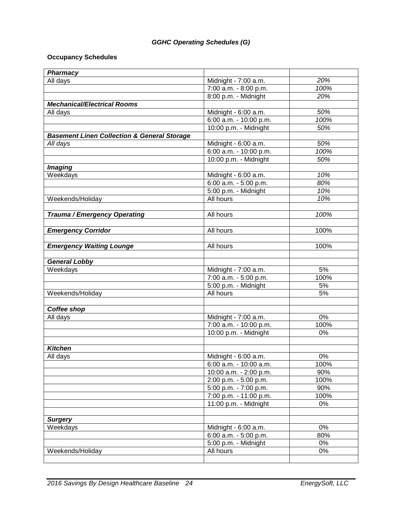### *GGHC Operating Schedules (G)*

#### **Occupancy Schedules**

| <b>Pharmacy</b>                                        |                         |      |
|--------------------------------------------------------|-------------------------|------|
| All days                                               | Midnight - 7:00 a.m.    | 20%  |
|                                                        | 7:00 a.m. - 8:00 p.m.   | 100% |
|                                                        | 8:00 p.m. - Midnight    | 20%  |
| <b>Mechanical/Electrical Rooms</b>                     |                         |      |
| All days                                               | Midnight - 6:00 a.m.    | 50%  |
|                                                        | 6:00 a.m. - 10:00 p.m.  | 100% |
|                                                        | 10:00 p.m. - Midnight   | 50%  |
| <b>Basement Linen Collection &amp; General Storage</b> |                         |      |
| All days                                               | Midnight - 6:00 a.m.    | 50%  |
|                                                        | 6:00 a.m. - 10:00 p.m.  | 100% |
|                                                        | 10:00 p.m. - Midnight   | 50%  |
| <b>Imaging</b>                                         |                         |      |
| Weekdays                                               | Midnight - 6:00 a.m.    | 10%  |
|                                                        | 6:00 a.m. - 5:00 p.m.   | 80%  |
|                                                        | 5:00 p.m. - Midnight    | 10%  |
| Weekends/Holiday                                       | All hours               | 10%  |
|                                                        |                         |      |
| Trauma / Emergency Operating                           | All hours               | 100% |
|                                                        |                         |      |
| <b>Emergency Corridor</b>                              | All hours               | 100% |
|                                                        |                         |      |
| <b>Emergency Waiting Lounge</b>                        | All hours               | 100% |
|                                                        |                         |      |
| <b>General Lobby</b>                                   |                         |      |
| Weekdays                                               | Midnight - 7:00 a.m.    | 5%   |
|                                                        | $7:00$ a.m. - 5:00 p.m. | 100% |
|                                                        | 5:00 p.m. - Midnight    | 5%   |
| Weekends/Holiday                                       | All hours               | 5%   |
|                                                        |                         |      |
| Coffee shop                                            |                         |      |
| All days                                               | Midnight - 7:00 a.m.    | 0%   |
|                                                        | 7:00 a.m. - 10:00 p.m.  | 100% |
|                                                        | 10:00 p.m. - Midnight   | 0%   |
|                                                        |                         |      |
| <b>Kitchen</b>                                         |                         |      |
| All days                                               | Midnight - 6:00 a.m.    | 0%   |
|                                                        | 6:00 a.m. - 10:00 a.m.  | 100% |
|                                                        | 10:00 a.m. - 2:00 p.m.  | 90%  |
|                                                        | 2:00 p.m. - 5:00 p.m.   | 100% |
|                                                        | 5:00 p.m. - 7:00 p.m.   | 90%  |
|                                                        | 7:00 p.m. - 11:00 p.m.  | 100% |
|                                                        | 11:00 p.m. - Midnight   | 0%   |
|                                                        |                         |      |
| <b>Surgery</b>                                         |                         |      |
| Weekdays                                               | Midnight - 6:00 a.m.    | 0%   |
|                                                        | 6:00 a.m. - 5:00 p.m.   | 80%  |
|                                                        | 5:00 p.m. - Midnight    | 0%   |
| Weekends/Holiday                                       | All hours               | 0%   |
|                                                        |                         |      |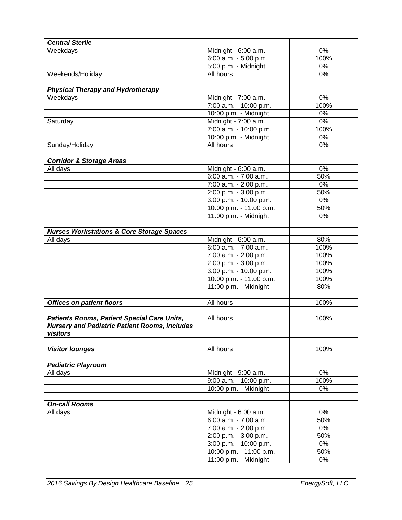| <b>Central Sterile</b>                                                                                                 |                          |       |
|------------------------------------------------------------------------------------------------------------------------|--------------------------|-------|
| Weekdays                                                                                                               | Midnight - 6:00 a.m.     | 0%    |
|                                                                                                                        | 6:00 a.m. - 5:00 p.m.    | 100%  |
|                                                                                                                        | 5:00 p.m. - Midnight     | 0%    |
| Weekends/Holiday                                                                                                       | All hours                | 0%    |
|                                                                                                                        |                          |       |
| <b>Physical Therapy and Hydrotherapy</b>                                                                               |                          |       |
| Weekdays                                                                                                               | Midnight - 7:00 a.m.     | 0%    |
|                                                                                                                        | 7:00 a.m. - 10:00 p.m.   | 100%  |
|                                                                                                                        | 10:00 p.m. - Midnight    | 0%    |
| Saturday                                                                                                               | Midnight - 7:00 a.m.     | 0%    |
|                                                                                                                        | 7:00 a.m. - 10:00 p.m.   | 100%  |
|                                                                                                                        | 10:00 p.m. - Midnight    | 0%    |
| Sunday/Holiday                                                                                                         | <b>All hours</b>         | 0%    |
|                                                                                                                        |                          |       |
| <b>Corridor &amp; Storage Areas</b>                                                                                    |                          |       |
| All days                                                                                                               | Midnight - 6:00 a.m.     | 0%    |
|                                                                                                                        | 6:00 a.m. - 7:00 a.m.    | 50%   |
|                                                                                                                        |                          | 0%    |
|                                                                                                                        | 7:00 a.m. - 2:00 p.m.    | 50%   |
|                                                                                                                        | 2:00 p.m. - 3:00 p.m.    |       |
|                                                                                                                        | 3:00 p.m. - 10:00 p.m.   | 0%    |
|                                                                                                                        | 10:00 p.m. - 11:00 p.m.  | 50%   |
|                                                                                                                        | 11:00 p.m. - Midnight    | 0%    |
|                                                                                                                        |                          |       |
| <b>Nurses Workstations &amp; Core Storage Spaces</b>                                                                   |                          |       |
| All days                                                                                                               | Midnight - 6:00 a.m.     | 80%   |
|                                                                                                                        | 6:00 a.m. - 7:00 a.m.    | 100%  |
|                                                                                                                        | 7:00 a.m. - 2:00 p.m.    | 100%  |
|                                                                                                                        | 2:00 p.m. - 3:00 p.m.    | 100%  |
|                                                                                                                        | 3:00 p.m. - 10:00 p.m.   | 100%  |
|                                                                                                                        | 10:00 p.m. - 11:00 p.m.  | 100%  |
|                                                                                                                        | $11:00$ p.m. - Midnight  | 80%   |
|                                                                                                                        |                          |       |
| <b>Offices on patient floors</b>                                                                                       | All hours                | 100%  |
|                                                                                                                        |                          |       |
| <b>Patients Rooms, Patient Special Care Units,</b><br><b>Nursery and Pediatric Patient Rooms, includes</b><br>visitors | All hours                | 100%  |
|                                                                                                                        |                          |       |
| <b>Visitor lounges</b>                                                                                                 | All hours                | 100%  |
|                                                                                                                        |                          |       |
| <b>Pediatric Playroom</b>                                                                                              |                          |       |
| All days                                                                                                               | Midnight - 9:00 a.m.     | 0%    |
|                                                                                                                        | $9:00$ a.m. - 10:00 p.m. | 100%  |
|                                                                                                                        | 10:00 p.m. - Midnight    | 0%    |
|                                                                                                                        |                          |       |
| <b>On-call Rooms</b>                                                                                                   |                          |       |
| All days                                                                                                               | Midnight - 6:00 a.m.     | 0%    |
|                                                                                                                        | 6:00 a.m. - 7:00 a.m.    | 50%   |
|                                                                                                                        | $7:00$ a.m. - 2:00 p.m.  | 0%    |
|                                                                                                                        | 2:00 p.m. - 3:00 p.m.    | 50%   |
|                                                                                                                        | 3:00 p.m. - 10:00 p.m.   | 0%    |
|                                                                                                                        | 10:00 p.m. - 11:00 p.m.  | 50%   |
|                                                                                                                        | $11:00$ p.m. - Midnight  | $0\%$ |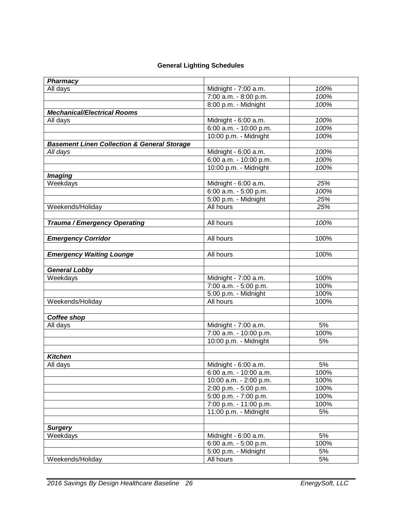### **General Lighting Schedules**

| <b>Pharmacy</b>                                        |                           |      |
|--------------------------------------------------------|---------------------------|------|
| All days                                               | Midnight - 7:00 a.m.      | 100% |
|                                                        | $7:00$ a.m. $-8:00$ p.m.  | 100% |
|                                                        | 8:00 p.m. - Midnight      | 100% |
| <b>Mechanical/Electrical Rooms</b>                     |                           |      |
| All days                                               | Midnight - 6:00 a.m.      | 100% |
|                                                        | 6:00 a.m. - 10:00 p.m.    | 100% |
|                                                        | 10:00 p.m. - Midnight     | 100% |
| <b>Basement Linen Collection &amp; General Storage</b> |                           |      |
| All days                                               | Midnight - 6:00 a.m.      | 100% |
|                                                        | $6.00$ a.m. $-10.00$ p.m. | 100% |
|                                                        | 10:00 p.m. - Midnight     | 100% |
| <b>Imaging</b>                                         |                           |      |
| Weekdays                                               | Midnight - 6:00 a.m.      | 25%  |
|                                                        | $6.00$ a.m. $-5.00$ p.m.  | 100% |
|                                                        | 5:00 p.m. - Midnight      | 25%  |
| Weekends/Holiday                                       | All hours                 | 25%  |
|                                                        |                           |      |
| <b>Trauma / Emergency Operating</b>                    | All hours                 | 100% |
|                                                        |                           |      |
| <b>Emergency Corridor</b>                              | All hours                 | 100% |
|                                                        |                           |      |
| <b>Emergency Waiting Lounge</b>                        | All hours                 | 100% |
|                                                        |                           |      |
| <b>General Lobby</b>                                   |                           |      |
| Weekdays                                               | Midnight - 7:00 a.m.      | 100% |
|                                                        | $7:00$ a.m. $-5:00$ p.m.  | 100% |
|                                                        | 5:00 p.m. - Midnight      | 100% |
| Weekends/Holiday                                       | All hours                 | 100% |
|                                                        |                           |      |
| <b>Coffee shop</b>                                     |                           |      |
| All days                                               | Midnight - 7:00 a.m.      | 5%   |
|                                                        | 7:00 a.m. - 10:00 p.m.    | 100% |
|                                                        | 10:00 p.m. - Midnight     | 5%   |
|                                                        |                           |      |
| <b>Kitchen</b>                                         |                           |      |
| All days                                               | Midnight - 6:00 a.m.      | 5%   |
|                                                        | 6:00 a.m. - 10:00 a.m.    | 100% |
|                                                        | $10:00$ a.m. - 2:00 p.m.  | 100% |
|                                                        | 2:00 p.m. - 5:00 p.m.     | 100% |
|                                                        | 5:00 p.m. - 7:00 p.m.     | 100% |
|                                                        | 7:00 p.m. - 11:00 p.m.    | 100% |
|                                                        | 11:00 p.m. - Midnight     | 5%   |
|                                                        |                           |      |
| <b>Surgery</b>                                         |                           |      |
| Weekdays                                               | Midnight - 6:00 a.m.      | 5%   |
|                                                        | 6:00 a.m. - 5:00 p.m.     | 100% |
|                                                        | 5:00 p.m. - Midnight      | 5%   |
| Weekends/Holiday                                       | All hours                 | 5%   |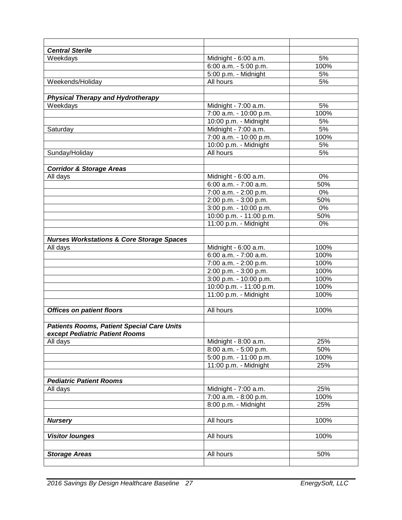| <b>Central Sterile</b>                               |                         |      |
|------------------------------------------------------|-------------------------|------|
| Weekdays                                             | Midnight - 6:00 a.m.    | 5%   |
|                                                      | 6:00 a.m. - 5:00 p.m.   | 100% |
|                                                      | 5:00 p.m. - Midnight    | 5%   |
| Weekends/Holiday                                     | All hours               | 5%   |
|                                                      |                         |      |
| <b>Physical Therapy and Hydrotherapy</b>             |                         |      |
| Weekdays                                             | Midnight - 7:00 a.m.    | 5%   |
|                                                      | 7:00 a.m. - 10:00 p.m.  | 100% |
|                                                      | 10:00 p.m. - Midnight   | 5%   |
| Saturday                                             | Midnight - 7:00 a.m.    | 5%   |
|                                                      | 7:00 a.m. - 10:00 p.m.  | 100% |
|                                                      | 10:00 p.m. - Midnight   | 5%   |
| Sunday/Holiday                                       | All hours               | 5%   |
|                                                      |                         |      |
| <b>Corridor &amp; Storage Areas</b>                  |                         |      |
| All days                                             | Midnight - 6:00 a.m.    | 0%   |
|                                                      | $6:00$ a.m. - 7:00 a.m. | 50%  |
|                                                      | 7:00 a.m. - 2:00 p.m.   | 0%   |
|                                                      | 2:00 p.m. - 3:00 p.m.   | 50%  |
|                                                      | 3:00 p.m. - 10:00 p.m.  | 0%   |
|                                                      | 10:00 p.m. - 11:00 p.m. | 50%  |
|                                                      | $11:00$ p.m. - Midnight | 0%   |
|                                                      |                         |      |
| <b>Nurses Workstations &amp; Core Storage Spaces</b> |                         |      |
| All days                                             | Midnight - 6:00 a.m.    | 100% |
|                                                      | 6:00 a.m. - 7:00 a.m.   | 100% |
|                                                      | 7:00 a.m. - 2:00 p.m.   | 100% |
|                                                      | 2:00 p.m. - 3:00 p.m.   | 100% |
|                                                      | 3:00 p.m. - 10:00 p.m.  | 100% |
|                                                      | 10:00 p.m. - 11:00 p.m. | 100% |
|                                                      | 11:00 p.m. - Midnight   | 100% |
|                                                      |                         |      |
| <b>Offices on patient floors</b>                     | All hours               | 100% |
|                                                      |                         |      |
| <b>Patients Rooms, Patient Special Care Units</b>    |                         |      |
| except Pediatric Patient Rooms                       |                         |      |
| All days                                             | Midnight - 8:00 a.m.    | 25%  |
|                                                      | 8:00 a.m. - 5:00 p.m.   | 50%  |
|                                                      | 5:00 p.m. - 11:00 p.m.  | 100% |
|                                                      | 11:00 p.m. - Midnight   | 25%  |
|                                                      |                         |      |
| <b>Pediatric Patient Rooms</b>                       |                         |      |
| All days                                             | Midnight - 7:00 a.m.    | 25%  |
|                                                      | 7:00 a.m. - 8:00 p.m.   | 100% |
|                                                      | 8:00 p.m. - Midnight    | 25%  |
|                                                      |                         |      |
| <b>Nursery</b>                                       | All hours               | 100% |
|                                                      |                         |      |
| <b>Visitor lounges</b>                               | All hours               | 100% |
|                                                      |                         |      |
| <b>Storage Areas</b>                                 | All hours               | 50%  |
|                                                      |                         |      |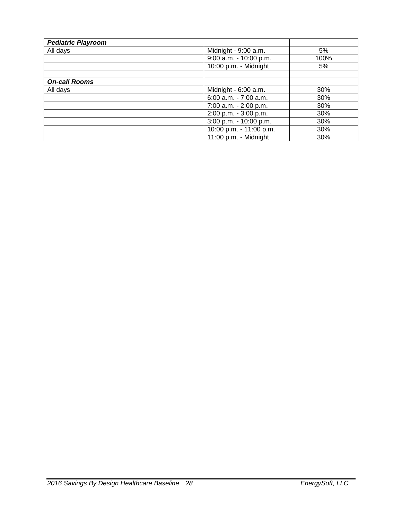| <b>Pediatric Playroom</b> |                         |      |
|---------------------------|-------------------------|------|
| All days                  | Midnight - 9:00 a.m.    | 5%   |
|                           | 9:00 a.m. - 10:00 p.m.  | 100% |
|                           | 10:00 p.m. - Midnight   | 5%   |
|                           |                         |      |
| <b>On-call Rooms</b>      |                         |      |
| All days                  | Midnight - 6:00 a.m.    | 30%  |
|                           | 6:00 a.m. - 7:00 a.m.   | 30%  |
|                           | 7:00 a.m. - 2:00 p.m.   | 30%  |
|                           | 2:00 p.m. - 3:00 p.m.   | 30%  |
|                           | 3:00 p.m. - 10:00 p.m.  | 30%  |
|                           | 10:00 p.m. - 11:00 p.m. | 30%  |
|                           | 11:00 p.m. - Midnight   | 30%  |